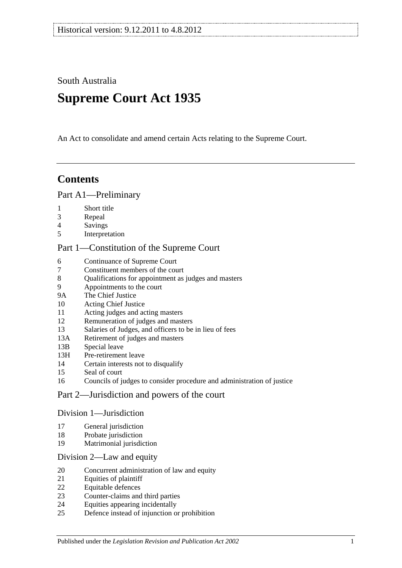South Australia

# **Supreme Court Act 1935**

An Act to consolidate and amend certain Acts relating to the Supreme Court.

## **Contents**

### [Part A1—Preliminary](#page-3-0)

- [Short title](#page-3-1)
- [Repeal](#page-3-2)
- [Savings](#page-3-3)
- [Interpretation](#page-3-4)

### [Part 1—Constitution of the Supreme Court](#page-5-0)

- [Continuance of](#page-5-1) Supreme Court<br>7 Constituent members of the cou
- [Constituent members of the court](#page-5-2)
- [Qualifications for appointment as judges and masters](#page-5-3)
- [Appointments to the court](#page-5-4)
- 9A [The Chief Justice](#page-6-0)
- [Acting Chief Justice](#page-6-1)
- [Acting judges and acting masters](#page-6-2)
- [Remuneration of judges and masters](#page-6-3)
- [Salaries of Judges, and officers to be in lieu of fees](#page-7-0)
- 13A [Retirement of judges and masters](#page-7-1)
- 13B [Special leave](#page-7-2)
- 13H [Pre-retirement leave](#page-7-3)
- [Certain interests not to disqualify](#page-8-0)
- [Seal of court](#page-9-0)
- [Councils of judges to consider procedure and administration of justice](#page-9-1)

## [Part 2—Jurisdiction and powers of the court](#page-9-2)

#### [Division 1—Jurisdiction](#page-9-3)

- [General jurisdiction](#page-9-4)
- [Probate jurisdiction](#page-10-0)
- [Matrimonial jurisdiction](#page-10-1)

#### [Division 2—Law and equity](#page-10-2)

- [Concurrent administration of law and equity](#page-10-3)
- [Equities of plaintiff](#page-10-4)
- [Equitable defences](#page-11-0)
- [Counter-claims and third parties](#page-11-1)
- [Equities appearing incidentally](#page-11-2)
- [Defence instead of injunction or prohibition](#page-11-3)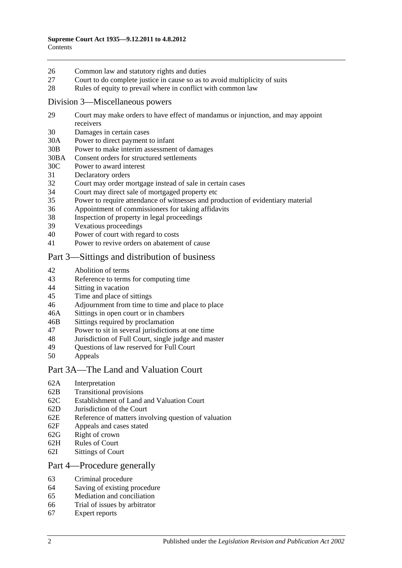- 26 [Common law and statutory rights and duties](#page-12-0)
- 27 [Court to do complete justice in cause so as to avoid multiplicity of suits](#page-12-1)
- 28 [Rules of equity to prevail where in conflict with common law](#page-12-2)

#### [Division 3—Miscellaneous powers](#page-12-3)

- 29 [Court may make orders to have effect of mandamus or injunction, and may appoint](#page-12-4)  [receivers](#page-12-4)
- 30 [Damages in certain cases](#page-13-0)
- 30A [Power to direct payment to infant](#page-13-1)
- 30B [Power to make interim assessment of damages](#page-13-2)
- 30BA [Consent orders for structured settlements](#page-16-0)
- 30C [Power to award interest](#page-16-1)
- 31 [Declaratory orders](#page-17-0)
- 32 [Court may order mortgage instead of sale in certain cases](#page-17-1)
- 34 [Court may direct sale of mortgaged property etc](#page-17-2)
- 35 [Power to require attendance of witnesses and production of evidentiary material](#page-17-3)
- 36 [Appointment of commissioners for taking affidavits](#page-18-0)
- 38 [Inspection of property in legal proceedings](#page-18-1)
- 39 [Vexatious proceedings](#page-18-2)
- 40 [Power of court with regard to costs](#page-19-0)
- 41 [Power to revive orders on abatement of cause](#page-19-1)

## [Part 3—Sittings and distribution of business](#page-19-2)

- 42 [Abolition of terms](#page-19-3)
- 43 [Reference to terms for computing time](#page-19-4)
- 44 Sitting [in vacation](#page-19-5)
- 45 [Time and place of sittings](#page-20-0)
- 46 [Adjournment from time to time and place to place](#page-20-1)
- 46A [Sittings in open court or in chambers](#page-20-2)
- 46B [Sittings required by proclamation](#page-20-3)
- 47 [Power to sit in several jurisdictions at one time](#page-20-4)
- 48 [Jurisdiction of Full Court, single judge and master](#page-20-5)
- 49 [Questions of law reserved for Full Court](#page-21-0)<br>50 Anneals
- **[Appeals](#page-21-1)**

#### [Part 3A—The Land and Valuation Court](#page-22-0)

- 62A [Interpretation](#page-22-1)
- 62B [Transitional provisions](#page-22-2)
- 62C [Establishment of Land and Valuation Court](#page-23-0)
- 62D [Jurisdiction of the Court](#page-23-1)
- 62E [Reference of matters involving question of valuation](#page-24-0)
- 62F [Appeals and cases stated](#page-24-1)
- 62G [Right of crown](#page-24-2)
- 62H [Rules of Court](#page-24-3)
- 62I [Sittings of Court](#page-25-0)

#### [Part 4—Procedure generally](#page-25-1)

- 63 [Criminal procedure](#page-25-2)
- 64 [Saving of existing procedure](#page-25-3)
- 65 [Mediation and conciliation](#page-25-4)
- 66 [Trial of issues by arbitrator](#page-26-0)
- 67 [Expert reports](#page-26-1)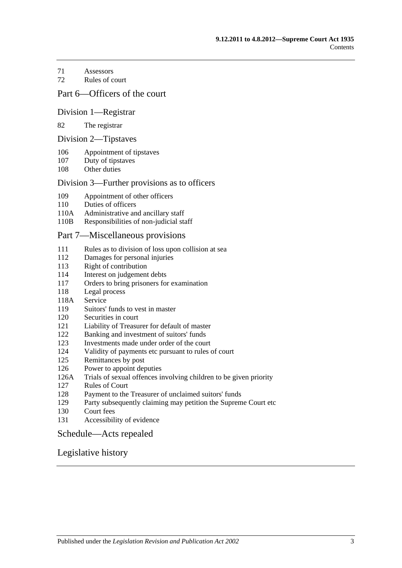- [Assessors](#page-26-2)
- [Rules of court](#page-27-0)

### [Part 6—Officers of the court](#page-28-0)

#### [Division 1—Registrar](#page-28-1)

#### [The registrar](#page-28-2)

#### [Division 2—Tipstaves](#page-28-3)

- [Appointment of tipstaves](#page-28-4)
- [Duty of tipstaves](#page-29-0)
- [Other duties](#page-29-1)

#### [Division 3—Further provisions as to officers](#page-29-2)

- [Appointment of other officers](#page-29-3)
- [Duties of officers](#page-29-4)
- 110A [Administrative and ancillary staff](#page-29-5)
- 110B [Responsibilities of non-judicial staff](#page-29-6)

#### [Part 7—Miscellaneous provisions](#page-30-0)

- [Rules as to division of loss upon collision at sea](#page-30-1)
- [Damages for personal injuries](#page-30-2)<br>113 Right of contribution
- [Right of contribution](#page-30-3)
- [Interest on judgement debts](#page-31-0)
- [Orders to bring prisoners for examination](#page-31-1)
- [Legal process](#page-31-2)
- 118A [Service](#page-31-3)
- [Suitors' funds to vest in master](#page-31-4)
- [Securities in court](#page-32-0)
- [Liability of Treasurer for default of master](#page-32-1)
- [Banking and investment of suitors' funds](#page-32-2)
- [Investments made under order of the court](#page-32-3)
- [Validity of payments etc pursuant to rules of court](#page-32-4)
- [Remittances by post](#page-32-5)
- [Power to appoint deputies](#page-33-0)
- 126A [Trials of sexual offences involving children to be given priority](#page-33-1)
- [Rules of Court](#page-33-2)
- [Payment to the Treasurer of unclaimed suitors' funds](#page-33-3)
- [Party subsequently claiming may petition the Supreme Court etc](#page-34-0)
- [Court fees](#page-34-1)
- [Accessibility of evidence](#page-34-2)

#### [Schedule—Acts repealed](#page-35-0)

## [Legislative history](#page-38-0)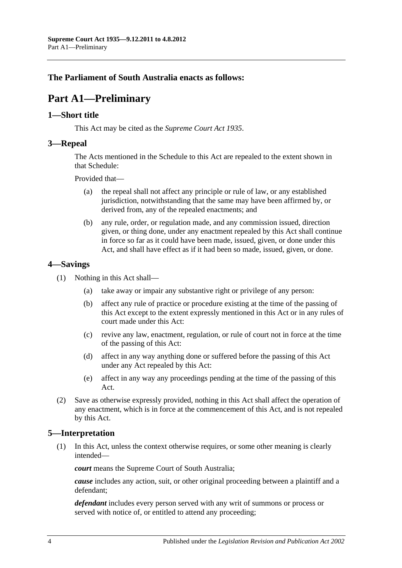## <span id="page-3-0"></span>**The Parliament of South Australia enacts as follows:**

# **Part A1—Preliminary**

## <span id="page-3-1"></span>**1—Short title**

This Act may be cited as the *Supreme Court Act 1935*.

### <span id="page-3-2"></span>**3—Repeal**

The Acts mentioned in the [Schedule](#page-35-0) to this Act are repealed to the extent shown in that [Schedule:](#page-35-0)

Provided that—

- (a) the repeal shall not affect any principle or rule of law, or any established jurisdiction, notwithstanding that the same may have been affirmed by, or derived from, any of the repealed enactments; and
- (b) any rule, order, or regulation made, and any commission issued, direction given, or thing done, under any enactment repealed by this Act shall continue in force so far as it could have been made, issued, given, or done under this Act, and shall have effect as if it had been so made, issued, given, or done.

## <span id="page-3-3"></span>**4—Savings**

- (1) Nothing in this Act shall—
	- (a) take away or impair any substantive right or privilege of any person:
	- (b) affect any rule of practice or procedure existing at the time of the passing of this Act except to the extent expressly mentioned in this Act or in any rules of court made under this Act:
	- (c) revive any law, enactment, regulation, or rule of court not in force at the time of the passing of this Act:
	- (d) affect in any way anything done or suffered before the passing of this Act under any Act repealed by this Act:
	- (e) affect in any way any proceedings pending at the time of the passing of this Act.
- (2) Save as otherwise expressly provided, nothing in this Act shall affect the operation of any enactment, which is in force at the commencement of this Act, and is not repealed by this Act.

## <span id="page-3-4"></span>**5—Interpretation**

(1) In this Act, unless the context otherwise requires, or some other meaning is clearly intended—

*court* means the Supreme Court of South Australia;

*cause* includes any action, suit, or other original proceeding between a plaintiff and a defendant;

*defendant* includes every person served with any writ of summons or process or served with notice of, or entitled to attend any proceeding;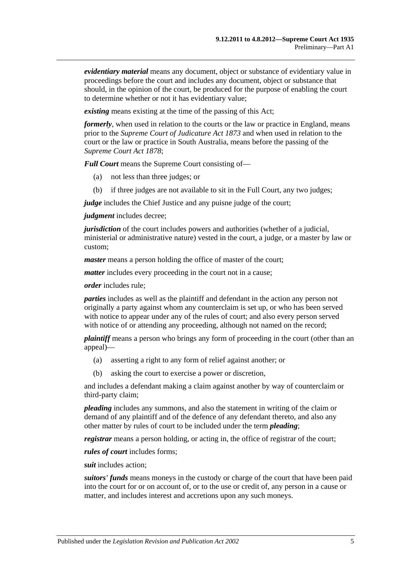*evidentiary material* means any document, object or substance of evidentiary value in proceedings before the court and includes any document, object or substance that should, in the opinion of the court, be produced for the purpose of enabling the court to determine whether or not it has evidentiary value;

*existing* means existing at the time of the passing of this Act;

*formerly*, when used in relation to the courts or the law or practice in England, means prior to the *[Supreme Court of Judicature Act](http://www.legislation.sa.gov.au/index.aspx?action=legref&type=act&legtitle=Supreme%20Court%20of%20Judicature%20Act%201873) 1873* and when used in relation to the court or the law or practice in South Australia, means before the passing of the *[Supreme Court Act](http://www.legislation.sa.gov.au/index.aspx?action=legref&type=act&legtitle=Supreme%20Court%20Act%201878) 1878*;

*Full Court* means the Supreme Court consisting of—

- (a) not less than three judges; or
- (b) if three judges are not available to sit in the Full Court, any two judges;

*judge* includes the Chief Justice and any puisne judge of the court;

*judgment* includes decree;

*jurisdiction* of the court includes powers and authorities (whether of a judicial, ministerial or administrative nature) vested in the court, a judge, or a master by law or custom;

*master* means a person holding the office of master of the court;

*matter* includes every proceeding in the court not in a cause;

*order* includes rule;

*parties* includes as well as the plaintiff and defendant in the action any person not originally a party against whom any counterclaim is set up, or who has been served with notice to appear under any of the rules of court; and also every person served with notice of or attending any proceeding, although not named on the record;

*plaintiff* means a person who brings any form of proceeding in the court (other than an appeal)—

- (a) asserting a right to any form of relief against another; or
- (b) asking the court to exercise a power or discretion,

and includes a defendant making a claim against another by way of counterclaim or third-party claim;

*pleading* includes any summons, and also the statement in writing of the claim or demand of any plaintiff and of the defence of any defendant thereto, and also any other matter by rules of court to be included under the term *pleading*;

*registrar* means a person holding, or acting in, the office of registrar of the court;

*rules of court* includes forms;

*suit* includes action;

*suitors' funds* means moneys in the custody or charge of the court that have been paid into the court for or on account of, or to the use or credit of, any person in a cause or matter, and includes interest and accretions upon any such moneys.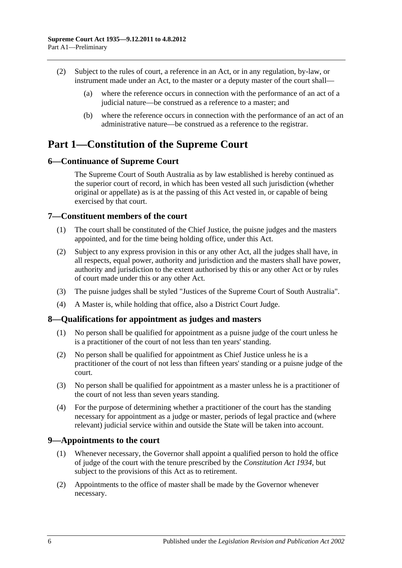- (2) Subject to the rules of court, a reference in an Act, or in any regulation, by-law, or instrument made under an Act, to the master or a deputy master of the court shall—
	- (a) where the reference occurs in connection with the performance of an act of a judicial nature—be construed as a reference to a master; and
	- (b) where the reference occurs in connection with the performance of an act of an administrative nature—be construed as a reference to the registrar.

## <span id="page-5-0"></span>**Part 1—Constitution of the Supreme Court**

## <span id="page-5-1"></span>**6—Continuance of Supreme Court**

The Supreme Court of South Australia as by law established is hereby continued as the superior court of record, in which has been vested all such jurisdiction (whether original or appellate) as is at the passing of this Act vested in, or capable of being exercised by that court.

## <span id="page-5-2"></span>**7—Constituent members of the court**

- (1) The court shall be constituted of the Chief Justice, the puisne judges and the masters appointed, and for the time being holding office, under this Act.
- (2) Subject to any express provision in this or any other Act, all the judges shall have, in all respects, equal power, authority and jurisdiction and the masters shall have power, authority and jurisdiction to the extent authorised by this or any other Act or by rules of court made under this or any other Act.
- (3) The puisne judges shall be styled "Justices of the Supreme Court of South Australia".
- (4) A Master is, while holding that office, also a District Court Judge.

## <span id="page-5-3"></span>**8—Qualifications for appointment as judges and masters**

- (1) No person shall be qualified for appointment as a puisne judge of the court unless he is a practitioner of the court of not less than ten years' standing.
- (2) No person shall be qualified for appointment as Chief Justice unless he is a practitioner of the court of not less than fifteen years' standing or a puisne judge of the court.
- (3) No person shall be qualified for appointment as a master unless he is a practitioner of the court of not less than seven years standing.
- (4) For the purpose of determining whether a practitioner of the court has the standing necessary for appointment as a judge or master, periods of legal practice and (where relevant) judicial service within and outside the State will be taken into account.

## <span id="page-5-4"></span>**9—Appointments to the court**

- (1) Whenever necessary, the Governor shall appoint a qualified person to hold the office of judge of the court with the tenure prescribed by the *[Constitution Act](http://www.legislation.sa.gov.au/index.aspx?action=legref&type=act&legtitle=Constitution%20Act%201934) 1934*, but subject to the provisions of this Act as to retirement.
- (2) Appointments to the office of master shall be made by the Governor whenever necessary.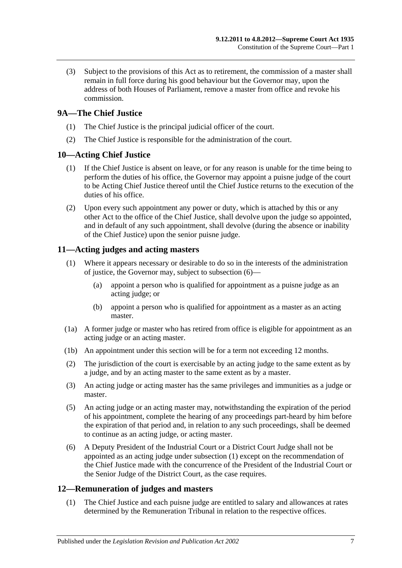(3) Subject to the provisions of this Act as to retirement, the commission of a master shall remain in full force during his good behaviour but the Governor may, upon the address of both Houses of Parliament, remove a master from office and revoke his commission.

## <span id="page-6-0"></span>**9A—The Chief Justice**

- (1) The Chief Justice is the principal judicial officer of the court.
- (2) The Chief Justice is responsible for the administration of the court.

## <span id="page-6-1"></span>**10—Acting Chief Justice**

- (1) If the Chief Justice is absent on leave, or for any reason is unable for the time being to perform the duties of his office, the Governor may appoint a puisne judge of the court to be Acting Chief Justice thereof until the Chief Justice returns to the execution of the duties of his office.
- (2) Upon every such appointment any power or duty, which is attached by this or any other Act to the office of the Chief Justice, shall devolve upon the judge so appointed, and in default of any such appointment, shall devolve (during the absence or inability of the Chief Justice) upon the senior puisne judge.

## <span id="page-6-5"></span><span id="page-6-2"></span>**11—Acting judges and acting masters**

- (1) Where it appears necessary or desirable to do so in the interests of the administration of justice, the Governor may, subject to [subsection](#page-6-4) (6)—
	- (a) appoint a person who is qualified for appointment as a puisne judge as an acting judge; or
	- (b) appoint a person who is qualified for appointment as a master as an acting master.
- (1a) A former judge or master who has retired from office is eligible for appointment as an acting judge or an acting master.
- (1b) An appointment under this section will be for a term not exceeding 12 months.
- (2) The jurisdiction of the court is exercisable by an acting judge to the same extent as by a judge, and by an acting master to the same extent as by a master.
- (3) An acting judge or acting master has the same privileges and immunities as a judge or master.
- (5) An acting judge or an acting master may, notwithstanding the expiration of the period of his appointment, complete the hearing of any proceedings part-heard by him before the expiration of that period and, in relation to any such proceedings, shall be deemed to continue as an acting judge, or acting master.
- <span id="page-6-4"></span>(6) A Deputy President of the Industrial Court or a District Court Judge shall not be appointed as an acting judge under [subsection](#page-6-5) (1) except on the recommendation of the Chief Justice made with the concurrence of the President of the Industrial Court or the Senior Judge of the District Court, as the case requires.

## <span id="page-6-3"></span>**12—Remuneration of judges and masters**

(1) The Chief Justice and each puisne judge are entitled to salary and allowances at rates determined by the Remuneration Tribunal in relation to the respective offices.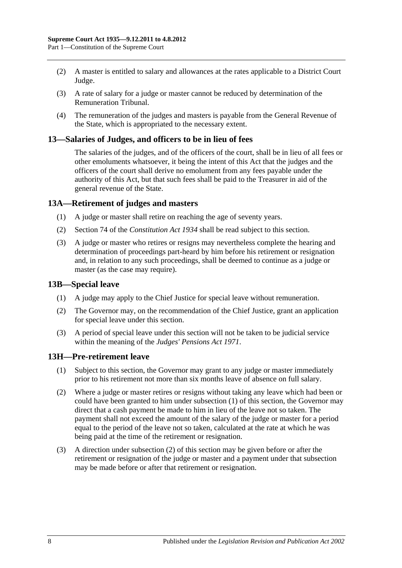- (2) A master is entitled to salary and allowances at the rates applicable to a District Court Judge.
- (3) A rate of salary for a judge or master cannot be reduced by determination of the Remuneration Tribunal.
- (4) The remuneration of the judges and masters is payable from the General Revenue of the State, which is appropriated to the necessary extent.

#### <span id="page-7-0"></span>**13—Salaries of Judges, and officers to be in lieu of fees**

The salaries of the judges, and of the officers of the court, shall be in lieu of all fees or other emoluments whatsoever, it being the intent of this Act that the judges and the officers of the court shall derive no emolument from any fees payable under the authority of this Act, but that such fees shall be paid to the Treasurer in aid of the general revenue of the State.

### <span id="page-7-1"></span>**13A—Retirement of judges and masters**

- (1) A judge or master shall retire on reaching the age of seventy years.
- (2) Section 74 of the *[Constitution Act](http://www.legislation.sa.gov.au/index.aspx?action=legref&type=act&legtitle=Constitution%20Act%201934) 1934* shall be read subject to this section.
- (3) A judge or master who retires or resigns may nevertheless complete the hearing and determination of proceedings part-heard by him before his retirement or resignation and, in relation to any such proceedings, shall be deemed to continue as a judge or master (as the case may require).

#### <span id="page-7-2"></span>**13B—Special leave**

- (1) A judge may apply to the Chief Justice for special leave without remuneration.
- (2) The Governor may, on the recommendation of the Chief Justice, grant an application for special leave under this section.
- (3) A period of special leave under this section will not be taken to be judicial service within the meaning of the *[Judges' Pensions Act](http://www.legislation.sa.gov.au/index.aspx?action=legref&type=act&legtitle=Judges%20Pensions%20Act%201971) 1971*.

#### <span id="page-7-4"></span><span id="page-7-3"></span>**13H—Pre-retirement leave**

- (1) Subject to this section, the Governor may grant to any judge or master immediately prior to his retirement not more than six months leave of absence on full salary.
- <span id="page-7-5"></span>(2) Where a judge or master retires or resigns without taking any leave which had been or could have been granted to him under [subsection](#page-7-4) (1) of this section, the Governor may direct that a cash payment be made to him in lieu of the leave not so taken. The payment shall not exceed the amount of the salary of the judge or master for a period equal to the period of the leave not so taken, calculated at the rate at which he was being paid at the time of the retirement or resignation.
- (3) A direction under [subsection](#page-7-5) (2) of this section may be given before or after the retirement or resignation of the judge or master and a payment under that subsection may be made before or after that retirement or resignation.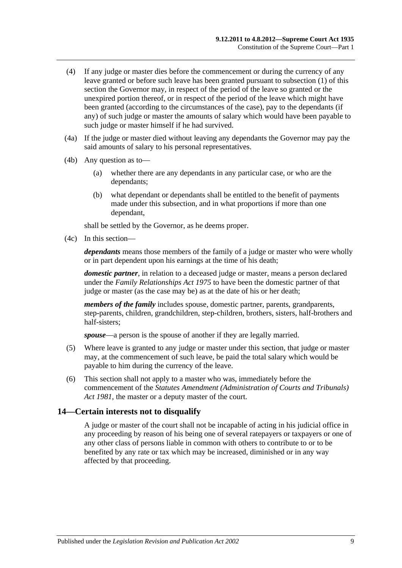- (4) If any judge or master dies before the commencement or during the currency of any leave granted or before such leave has been granted pursuant to [subsection](#page-7-4) (1) of this section the Governor may, in respect of the period of the leave so granted or the unexpired portion thereof, or in respect of the period of the leave which might have been granted (according to the circumstances of the case), pay to the dependants (if any) of such judge or master the amounts of salary which would have been payable to such judge or master himself if he had survived.
- (4a) If the judge or master died without leaving any dependants the Governor may pay the said amounts of salary to his personal representatives.
- (4b) Any question as to—
	- (a) whether there are any dependants in any particular case, or who are the dependants;
	- (b) what dependant or dependants shall be entitled to the benefit of payments made under this subsection, and in what proportions if more than one dependant,

shall be settled by the Governor, as he deems proper.

(4c) In this section—

*dependants* means those members of the family of a judge or master who were wholly or in part dependent upon his earnings at the time of his death;

*domestic partner*, in relation to a deceased judge or master, means a person declared under the *[Family Relationships Act](http://www.legislation.sa.gov.au/index.aspx?action=legref&type=act&legtitle=Family%20Relationships%20Act%201975) 1975* to have been the domestic partner of that judge or master (as the case may be) as at the date of his or her death;

*members of the family* includes spouse, domestic partner, parents, grandparents, step-parents, children, grandchildren, step-children, brothers, sisters, half-brothers and half-sisters;

*spouse*—a person is the spouse of another if they are legally married.

- (5) Where leave is granted to any judge or master under this section, that judge or master may, at the commencement of such leave, be paid the total salary which would be payable to him during the currency of the leave.
- (6) This section shall not apply to a master who was, immediately before the commencement of the *[Statutes Amendment \(Administration of Courts and Tribunals\)](http://www.legislation.sa.gov.au/index.aspx?action=legref&type=act&legtitle=Statutes%20Amendment%20(Administration%20of%20Courts%20and%20Tribunals)%20Act%201981)  Act [1981](http://www.legislation.sa.gov.au/index.aspx?action=legref&type=act&legtitle=Statutes%20Amendment%20(Administration%20of%20Courts%20and%20Tribunals)%20Act%201981)*, the master or a deputy master of the court.

### <span id="page-8-0"></span>**14—Certain interests not to disqualify**

A judge or master of the court shall not be incapable of acting in his judicial office in any proceeding by reason of his being one of several ratepayers or taxpayers or one of any other class of persons liable in common with others to contribute to or to be benefited by any rate or tax which may be increased, diminished or in any way affected by that proceeding.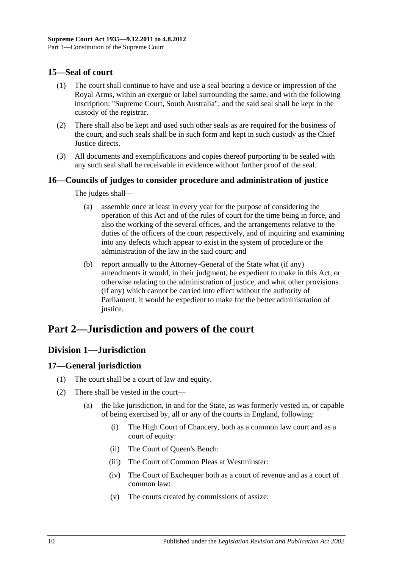## <span id="page-9-0"></span>**15—Seal of court**

- (1) The court shall continue to have and use a seal bearing a device or impression of the Royal Arms, within an exergue or label surrounding the same, and with the following inscription: "Supreme Court, South Australia"; and the said seal shall be kept in the custody of the registrar.
- (2) There shall also be kept and used such other seals as are required for the business of the court, and such seals shall be in such form and kept in such custody as the Chief Justice directs.
- (3) All documents and exemplifications and copies thereof purporting to be sealed with any such seal shall be receivable in evidence without further proof of the seal.

## <span id="page-9-1"></span>**16—Councils of judges to consider procedure and administration of justice**

The judges shall—

- (a) assemble once at least in every year for the purpose of considering the operation of this Act and of the rules of court for the time being in force, and also the working of the several offices, and the arrangements relative to the duties of the officers of the court respectively, and of inquiring and examining into any defects which appear to exist in the system of procedure or the administration of the law in the said court; and
- (b) report annually to the Attorney-General of the State what (if any) amendments it would, in their judgment, be expedient to make in this Act, or otherwise relating to the administration of justice, and what other provisions (if any) which cannot be carried into effect without the authority of Parliament, it would be expedient to make for the better administration of justice.

# <span id="page-9-3"></span><span id="page-9-2"></span>**Part 2—Jurisdiction and powers of the court**

## **Division 1—Jurisdiction**

## <span id="page-9-4"></span>**17—General jurisdiction**

- (1) The court shall be a court of law and equity.
- (2) There shall be vested in the court—
	- (a) the like jurisdiction, in and for the State, as was formerly vested in, or capable of being exercised by, all or any of the courts in England, following:
		- (i) The High Court of Chancery, both as a common law court and as a court of equity:
		- (ii) The Court of Queen's Bench:
		- (iii) The Court of Common Pleas at Westminster:
		- (iv) The Court of Exchequer both as a court of revenue and as a court of common law:
		- (v) The courts created by commissions of assize: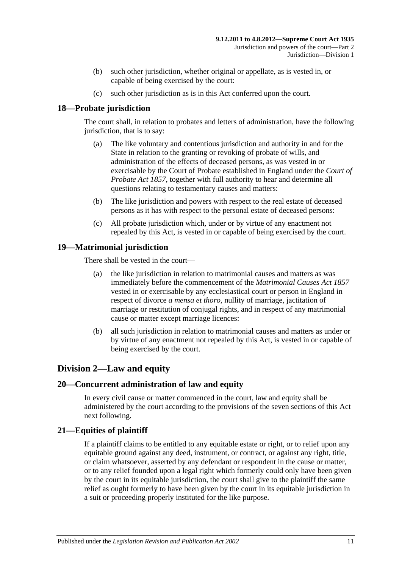- (b) such other jurisdiction, whether original or appellate, as is vested in, or capable of being exercised by the court:
- (c) such other jurisdiction as is in this Act conferred upon the court.

## <span id="page-10-0"></span>**18—Probate jurisdiction**

The court shall, in relation to probates and letters of administration, have the following jurisdiction, that is to say:

- (a) The like voluntary and contentious jurisdiction and authority in and for the State in relation to the granting or revoking of probate of wills, and administration of the effects of deceased persons, as was vested in or exercisable by the Court of Probate established in England under the *[Court of](http://www.legislation.sa.gov.au/index.aspx?action=legref&type=act&legtitle=Court%20of%20Probate%20Act%201857)  [Probate Act](http://www.legislation.sa.gov.au/index.aspx?action=legref&type=act&legtitle=Court%20of%20Probate%20Act%201857) 1857*, together with full authority to hear and determine all questions relating to testamentary causes and matters:
- (b) The like jurisdiction and powers with respect to the real estate of deceased persons as it has with respect to the personal estate of deceased persons:
- (c) All probate jurisdiction which, under or by virtue of any enactment not repealed by this Act, is vested in or capable of being exercised by the court.

## <span id="page-10-1"></span>**19—Matrimonial jurisdiction**

There shall be vested in the court—

- (a) the like jurisdiction in relation to matrimonial causes and matters as was immediately before the commencement of the *[Matrimonial Causes Act](http://www.legislation.sa.gov.au/index.aspx?action=legref&type=act&legtitle=Matrimonial%20Causes%20Act%201857) 1857* vested in or exercisable by any ecclesiastical court or person in England in respect of divorce *a mensa et thoro*, nullity of marriage, jactitation of marriage or restitution of conjugal rights, and in respect of any matrimonial cause or matter except marriage licences:
- (b) all such jurisdiction in relation to matrimonial causes and matters as under or by virtue of any enactment not repealed by this Act, is vested in or capable of being exercised by the court.

## <span id="page-10-2"></span>**Division 2—Law and equity**

## <span id="page-10-3"></span>**20—Concurrent administration of law and equity**

In every civil cause or matter commenced in the court, law and equity shall be administered by the court according to the provisions of the seven sections of this Act next following.

## <span id="page-10-4"></span>**21—Equities of plaintiff**

If a plaintiff claims to be entitled to any equitable estate or right, or to relief upon any equitable ground against any deed, instrument, or contract, or against any right, title, or claim whatsoever, asserted by any defendant or respondent in the cause or matter, or to any relief founded upon a legal right which formerly could only have been given by the court in its equitable jurisdiction, the court shall give to the plaintiff the same relief as ought formerly to have been given by the court in its equitable jurisdiction in a suit or proceeding properly instituted for the like purpose.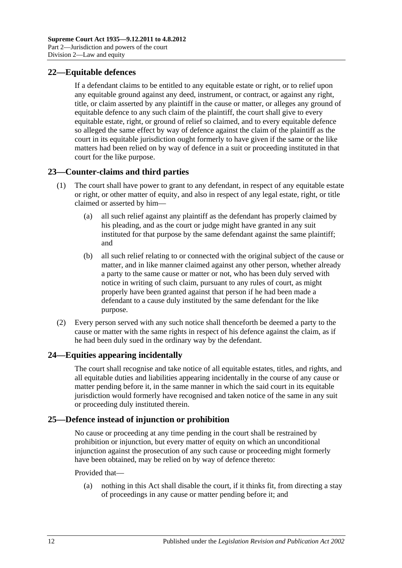## <span id="page-11-0"></span>**22—Equitable defences**

If a defendant claims to be entitled to any equitable estate or right, or to relief upon any equitable ground against any deed, instrument, or contract, or against any right, title, or claim asserted by any plaintiff in the cause or matter, or alleges any ground of equitable defence to any such claim of the plaintiff, the court shall give to every equitable estate, right, or ground of relief so claimed, and to every equitable defence so alleged the same effect by way of defence against the claim of the plaintiff as the court in its equitable jurisdiction ought formerly to have given if the same or the like matters had been relied on by way of defence in a suit or proceeding instituted in that court for the like purpose.

## <span id="page-11-1"></span>**23—Counter-claims and third parties**

- (1) The court shall have power to grant to any defendant, in respect of any equitable estate or right, or other matter of equity, and also in respect of any legal estate, right, or title claimed or asserted by him—
	- (a) all such relief against any plaintiff as the defendant has properly claimed by his pleading, and as the court or judge might have granted in any suit instituted for that purpose by the same defendant against the same plaintiff; and
	- (b) all such relief relating to or connected with the original subject of the cause or matter, and in like manner claimed against any other person, whether already a party to the same cause or matter or not, who has been duly served with notice in writing of such claim, pursuant to any rules of court, as might properly have been granted against that person if he had been made a defendant to a cause duly instituted by the same defendant for the like purpose.
- (2) Every person served with any such notice shall thenceforth be deemed a party to the cause or matter with the same rights in respect of his defence against the claim, as if he had been duly sued in the ordinary way by the defendant.

## <span id="page-11-2"></span>**24—Equities appearing incidentally**

The court shall recognise and take notice of all equitable estates, titles, and rights, and all equitable duties and liabilities appearing incidentally in the course of any cause or matter pending before it, in the same manner in which the said court in its equitable jurisdiction would formerly have recognised and taken notice of the same in any suit or proceeding duly instituted therein.

## <span id="page-11-3"></span>**25—Defence instead of injunction or prohibition**

No cause or proceeding at any time pending in the court shall be restrained by prohibition or injunction, but every matter of equity on which an unconditional injunction against the prosecution of any such cause or proceeding might formerly have been obtained, may be relied on by way of defence thereto:

#### Provided that—

(a) nothing in this Act shall disable the court, if it thinks fit, from directing a stay of proceedings in any cause or matter pending before it; and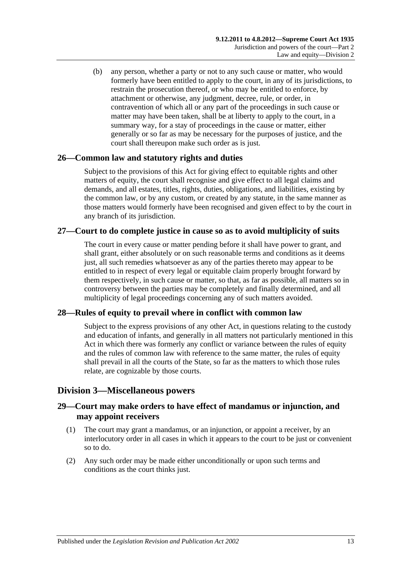(b) any person, whether a party or not to any such cause or matter, who would formerly have been entitled to apply to the court, in any of its jurisdictions, to restrain the prosecution thereof, or who may be entitled to enforce, by attachment or otherwise, any judgment, decree, rule, or order, in contravention of which all or any part of the proceedings in such cause or matter may have been taken, shall be at liberty to apply to the court, in a summary way, for a stay of proceedings in the cause or matter, either generally or so far as may be necessary for the purposes of justice, and the court shall thereupon make such order as is just.

## <span id="page-12-0"></span>**26—Common law and statutory rights and duties**

Subject to the provisions of this Act for giving effect to equitable rights and other matters of equity, the court shall recognise and give effect to all legal claims and demands, and all estates, titles, rights, duties, obligations, and liabilities, existing by the common law, or by any custom, or created by any statute, in the same manner as those matters would formerly have been recognised and given effect to by the court in any branch of its jurisdiction.

## <span id="page-12-1"></span>**27—Court to do complete justice in cause so as to avoid multiplicity of suits**

The court in every cause or matter pending before it shall have power to grant, and shall grant, either absolutely or on such reasonable terms and conditions as it deems just, all such remedies whatsoever as any of the parties thereto may appear to be entitled to in respect of every legal or equitable claim properly brought forward by them respectively, in such cause or matter, so that, as far as possible, all matters so in controversy between the parties may be completely and finally determined, and all multiplicity of legal proceedings concerning any of such matters avoided.

## <span id="page-12-2"></span>**28—Rules of equity to prevail where in conflict with common law**

Subject to the express provisions of any other Act, in questions relating to the custody and education of infants, and generally in all matters not particularly mentioned in this Act in which there was formerly any conflict or variance between the rules of equity and the rules of common law with reference to the same matter, the rules of equity shall prevail in all the courts of the State, so far as the matters to which those rules relate, are cognizable by those courts.

## <span id="page-12-3"></span>**Division 3—Miscellaneous powers**

## <span id="page-12-4"></span>**29—Court may make orders to have effect of mandamus or injunction, and may appoint receivers**

- (1) The court may grant a mandamus, or an injunction, or appoint a receiver, by an interlocutory order in all cases in which it appears to the court to be just or convenient so to do.
- (2) Any such order may be made either unconditionally or upon such terms and conditions as the court thinks just.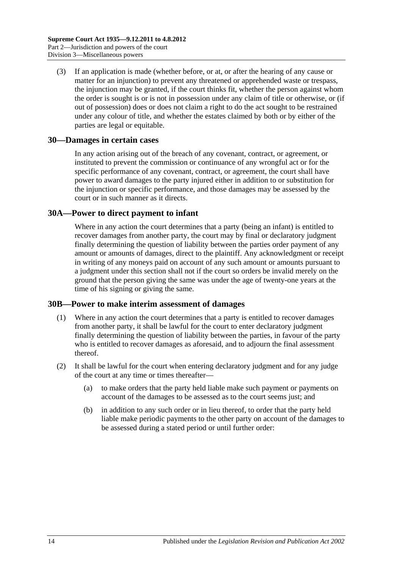(3) If an application is made (whether before, or at, or after the hearing of any cause or matter for an injunction) to prevent any threatened or apprehended waste or trespass, the injunction may be granted, if the court thinks fit, whether the person against whom the order is sought is or is not in possession under any claim of title or otherwise, or (if out of possession) does or does not claim a right to do the act sought to be restrained under any colour of title, and whether the estates claimed by both or by either of the parties are legal or equitable.

### <span id="page-13-0"></span>**30—Damages in certain cases**

In any action arising out of the breach of any covenant, contract, or agreement, or instituted to prevent the commission or continuance of any wrongful act or for the specific performance of any covenant, contract, or agreement, the court shall have power to award damages to the party injured either in addition to or substitution for the injunction or specific performance, and those damages may be assessed by the court or in such manner as it directs.

### <span id="page-13-1"></span>**30A—Power to direct payment to infant**

Where in any action the court determines that a party (being an infant) is entitled to recover damages from another party, the court may by final or declaratory judgment finally determining the question of liability between the parties order payment of any amount or amounts of damages, direct to the plaintiff. Any acknowledgment or receipt in writing of any moneys paid on account of any such amount or amounts pursuant to a judgment under this section shall not if the court so orders be invalid merely on the ground that the person giving the same was under the age of twenty-one years at the time of his signing or giving the same.

#### <span id="page-13-2"></span>**30B—Power to make interim assessment of damages**

- (1) Where in any action the court determines that a party is entitled to recover damages from another party, it shall be lawful for the court to enter declaratory judgment finally determining the question of liability between the parties, in favour of the party who is entitled to recover damages as aforesaid, and to adjourn the final assessment thereof.
- <span id="page-13-3"></span>(2) It shall be lawful for the court when entering declaratory judgment and for any judge of the court at any time or times thereafter—
	- (a) to make orders that the party held liable make such payment or payments on account of the damages to be assessed as to the court seems just; and
	- (b) in addition to any such order or in lieu thereof, to order that the party held liable make periodic payments to the other party on account of the damages to be assessed during a stated period or until further order: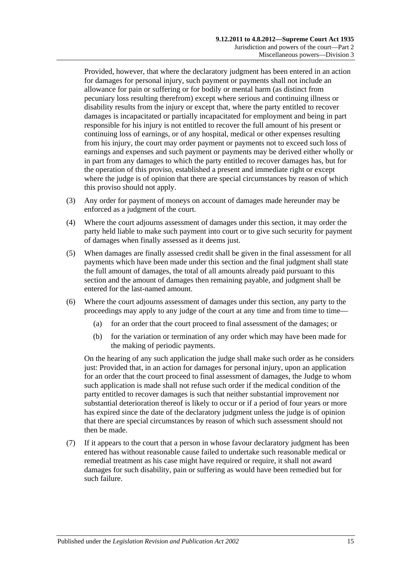Provided, however, that where the declaratory judgment has been entered in an action for damages for personal injury, such payment or payments shall not include an allowance for pain or suffering or for bodily or mental harm (as distinct from pecuniary loss resulting therefrom) except where serious and continuing illness or disability results from the injury or except that, where the party entitled to recover damages is incapacitated or partially incapacitated for employment and being in part responsible for his injury is not entitled to recover the full amount of his present or continuing loss of earnings, or of any hospital, medical or other expenses resulting from his injury, the court may order payment or payments not to exceed such loss of earnings and expenses and such payment or payments may be derived either wholly or in part from any damages to which the party entitled to recover damages has, but for the operation of this proviso, established a present and immediate right or except where the judge is of opinion that there are special circumstances by reason of which this proviso should not apply.

- (3) Any order for payment of moneys on account of damages made hereunder may be enforced as a judgment of the court.
- (4) Where the court adjourns assessment of damages under this section, it may order the party held liable to make such payment into court or to give such security for payment of damages when finally assessed as it deems just.
- (5) When damages are finally assessed credit shall be given in the final assessment for all payments which have been made under this section and the final judgment shall state the full amount of damages, the total of all amounts already paid pursuant to this section and the amount of damages then remaining payable, and judgment shall be entered for the last-named amount.
- (6) Where the court adjourns assessment of damages under this section, any party to the proceedings may apply to any judge of the court at any time and from time to time—
	- (a) for an order that the court proceed to final assessment of the damages; or
	- (b) for the variation or termination of any order which may have been made for the making of periodic payments.

On the hearing of any such application the judge shall make such order as he considers just: Provided that, in an action for damages for personal injury, upon an application for an order that the court proceed to final assessment of damages, the Judge to whom such application is made shall not refuse such order if the medical condition of the party entitled to recover damages is such that neither substantial improvement nor substantial deterioration thereof is likely to occur or if a period of four years or more has expired since the date of the declaratory judgment unless the judge is of opinion that there are special circumstances by reason of which such assessment should not then be made.

(7) If it appears to the court that a person in whose favour declaratory judgment has been entered has without reasonable cause failed to undertake such reasonable medical or remedial treatment as his case might have required or require, it shall not award damages for such disability, pain or suffering as would have been remedied but for such failure.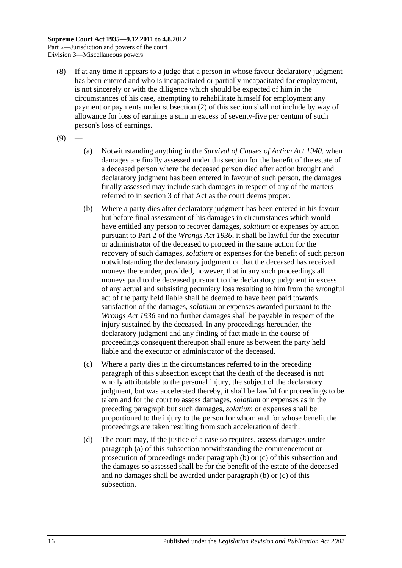- (8) If at any time it appears to a judge that a person in whose favour declaratory judgment has been entered and who is incapacitated or partially incapacitated for employment, is not sincerely or with the diligence which should be expected of him in the circumstances of his case, attempting to rehabilitate himself for employment any payment or payments under [subsection](#page-13-3) (2) of this section shall not include by way of allowance for loss of earnings a sum in excess of seventy-five per centum of such person's loss of earnings.
- <span id="page-15-0"></span> $(9)$
- (a) Notwithstanding anything in the *[Survival of Causes of Action Act](http://www.legislation.sa.gov.au/index.aspx?action=legref&type=act&legtitle=Survival%20of%20Causes%20of%20Action%20Act%201940) 1940*, when damages are finally assessed under this section for the benefit of the estate of a deceased person where the deceased person died after action brought and declaratory judgment has been entered in favour of such person, the damages finally assessed may include such damages in respect of any of the matters referred to in section 3 of that Act as the court deems proper.
- <span id="page-15-1"></span>(b) Where a party dies after declaratory judgment has been entered in his favour but before final assessment of his damages in circumstances which would have entitled any person to recover damages, *solatium* or expenses by action pursuant to Part 2 of the *[Wrongs Act](http://www.legislation.sa.gov.au/index.aspx?action=legref&type=act&legtitle=Wrongs%20Act%201936) 1936*, it shall be lawful for the executor or administrator of the deceased to proceed in the same action for the recovery of such damages, *solatium* or expenses for the benefit of such person notwithstanding the declaratory judgment or that the deceased has received moneys thereunder, provided, however, that in any such proceedings all moneys paid to the deceased pursuant to the declaratory judgment in excess of any actual and subsisting pecuniary loss resulting to him from the wrongful act of the party held liable shall be deemed to have been paid towards satisfaction of the damages, *solatium* or expenses awarded pursuant to the *[Wrongs Act](http://www.legislation.sa.gov.au/index.aspx?action=legref&type=act&legtitle=Wrongs%20Act%201936) 1936* and no further damages shall be payable in respect of the injury sustained by the deceased. In any proceedings hereunder, the declaratory judgment and any finding of fact made in the course of proceedings consequent thereupon shall enure as between the party held liable and the executor or administrator of the deceased.
- <span id="page-15-2"></span>(c) Where a party dies in the circumstances referred to in the preceding paragraph of this subsection except that the death of the deceased is not wholly attributable to the personal injury, the subject of the declaratory judgment, but was accelerated thereby, it shall be lawful for proceedings to be taken and for the court to assess damages, *solatium* or expenses as in the preceding paragraph but such damages, *solatium* or expenses shall be proportioned to the injury to the person for whom and for whose benefit the proceedings are taken resulting from such acceleration of death.
- (d) The court may, if the justice of a case so requires, assess damages under [paragraph](#page-15-0) (a) of this subsection notwithstanding the commencement or prosecution of proceedings under [paragraph](#page-15-1) (b) or [\(c\)](#page-15-2) of this subsection and the damages so assessed shall be for the benefit of the estate of the deceased and no damages shall be awarded under [paragraph](#page-15-1) (b) or [\(c\)](#page-15-2) of this subsection.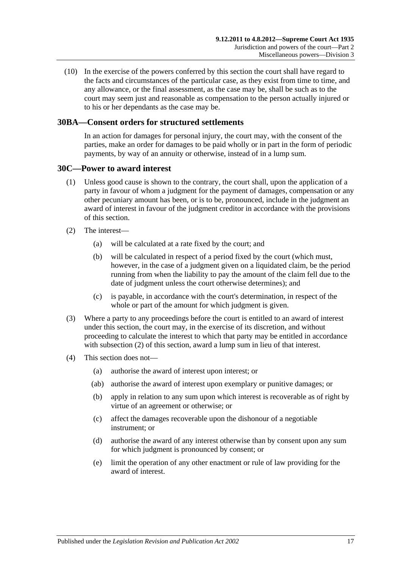(10) In the exercise of the powers conferred by this section the court shall have regard to the facts and circumstances of the particular case, as they exist from time to time, and any allowance, or the final assessment, as the case may be, shall be such as to the court may seem just and reasonable as compensation to the person actually injured or to his or her dependants as the case may be.

## <span id="page-16-0"></span>**30BA—Consent orders for structured settlements**

In an action for damages for personal injury, the court may, with the consent of the parties, make an order for damages to be paid wholly or in part in the form of periodic payments, by way of an annuity or otherwise, instead of in a lump sum.

#### <span id="page-16-1"></span>**30C—Power to award interest**

- (1) Unless good cause is shown to the contrary, the court shall, upon the application of a party in favour of whom a judgment for the payment of damages, compensation or any other pecuniary amount has been, or is to be, pronounced, include in the judgment an award of interest in favour of the judgment creditor in accordance with the provisions of this section.
- <span id="page-16-2"></span>(2) The interest—
	- (a) will be calculated at a rate fixed by the court; and
	- (b) will be calculated in respect of a period fixed by the court (which must, however, in the case of a judgment given on a liquidated claim, be the period running from when the liability to pay the amount of the claim fell due to the date of judgment unless the court otherwise determines); and
	- (c) is payable, in accordance with the court's determination, in respect of the whole or part of the amount for which judgment is given.
- (3) Where a party to any proceedings before the court is entitled to an award of interest under this section, the court may, in the exercise of its discretion, and without proceeding to calculate the interest to which that party may be entitled in accordance with [subsection](#page-16-2) (2) of this section, award a lump sum in lieu of that interest.
- (4) This section does not—
	- (a) authorise the award of interest upon interest; or
	- (ab) authorise the award of interest upon exemplary or punitive damages; or
	- (b) apply in relation to any sum upon which interest is recoverable as of right by virtue of an agreement or otherwise; or
	- (c) affect the damages recoverable upon the dishonour of a negotiable instrument; or
	- (d) authorise the award of any interest otherwise than by consent upon any sum for which judgment is pronounced by consent; or
	- (e) limit the operation of any other enactment or rule of law providing for the award of interest.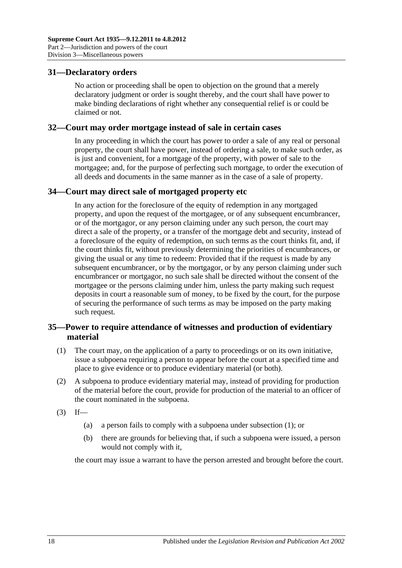## <span id="page-17-0"></span>**31—Declaratory orders**

No action or proceeding shall be open to objection on the ground that a merely declaratory judgment or order is sought thereby, and the court shall have power to make binding declarations of right whether any consequential relief is or could be claimed or not.

#### <span id="page-17-1"></span>**32—Court may order mortgage instead of sale in certain cases**

In any proceeding in which the court has power to order a sale of any real or personal property, the court shall have power, instead of ordering a sale, to make such order, as is just and convenient, for a mortgage of the property, with power of sale to the mortgagee; and, for the purpose of perfecting such mortgage, to order the execution of all deeds and documents in the same manner as in the case of a sale of property.

## <span id="page-17-2"></span>**34—Court may direct sale of mortgaged property etc**

In any action for the foreclosure of the equity of redemption in any mortgaged property, and upon the request of the mortgagee, or of any subsequent encumbrancer, or of the mortgagor, or any person claiming under any such person, the court may direct a sale of the property, or a transfer of the mortgage debt and security, instead of a foreclosure of the equity of redemption, on such terms as the court thinks fit, and, if the court thinks fit, without previously determining the priorities of encumbrances, or giving the usual or any time to redeem: Provided that if the request is made by any subsequent encumbrancer, or by the mortgagor, or by any person claiming under such encumbrancer or mortgagor, no such sale shall be directed without the consent of the mortgagee or the persons claiming under him, unless the party making such request deposits in court a reasonable sum of money, to be fixed by the court, for the purpose of securing the performance of such terms as may be imposed on the party making such request.

## <span id="page-17-3"></span>**35—Power to require attendance of witnesses and production of evidentiary material**

- <span id="page-17-4"></span>(1) The court may, on the application of a party to proceedings or on its own initiative, issue a subpoena requiring a person to appear before the court at a specified time and place to give evidence or to produce evidentiary material (or both).
- (2) A subpoena to produce evidentiary material may, instead of providing for production of the material before the court, provide for production of the material to an officer of the court nominated in the subpoena.
- $(3)$  If—
	- (a) a person fails to comply with a subpoena under [subsection](#page-17-4) (1); or
	- (b) there are grounds for believing that, if such a subpoena were issued, a person would not comply with it,

the court may issue a warrant to have the person arrested and brought before the court.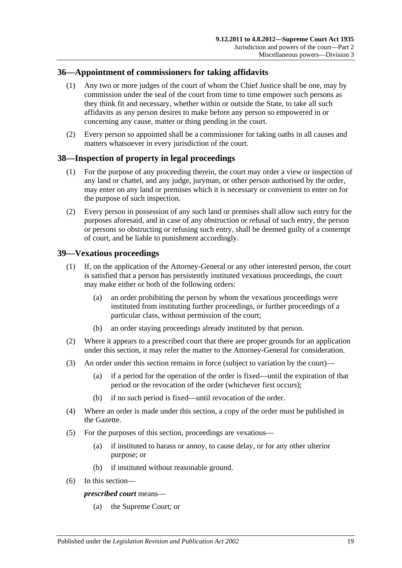## <span id="page-18-0"></span>**36—Appointment of commissioners for taking affidavits**

- (1) Any two or more judges of the court of whom the Chief Justice shall be one, may by commission under the seal of the court from time to time empower such persons as they think fit and necessary, whether within or outside the State, to take all such affidavits as any person desires to make before any person so empowered in or concerning any cause, matter or thing pending in the court.
- (2) Every person so appointed shall be a commissioner for taking oaths in all causes and matters whatsoever in every jurisdiction of the court.

## <span id="page-18-1"></span>**38—Inspection of property in legal proceedings**

- (1) For the purpose of any proceeding therein, the court may order a view or inspection of any land or chattel, and any judge, juryman, or other person authorised by the order, may enter on any land or premises which it is necessary or convenient to enter on for the purpose of such inspection.
- (2) Every person in possession of any such land or premises shall allow such entry for the purposes aforesaid, and in case of any obstruction or refusal of such entry, the person or persons so obstructing or refusing such entry, shall be deemed guilty of a contempt of court, and be liable to punishment accordingly.

## <span id="page-18-2"></span>**39—Vexatious proceedings**

- (1) If, on the application of the Attorney-General or any other interested person, the court is satisfied that a person has persistently instituted vexatious proceedings, the court may make either or both of the following orders:
	- (a) an order prohibiting the person by whom the vexatious proceedings were instituted from instituting further proceedings, or further proceedings of a particular class, without permission of the court;
	- (b) an order staying proceedings already instituted by that person.
- (2) Where it appears to a prescribed court that there are proper grounds for an application under this section, it may refer the matter to the Attorney-General for consideration.
- (3) An order under this section remains in force (subject to variation by the court)—
	- (a) if a period for the operation of the order is fixed—until the expiration of that period or the revocation of the order (whichever first occurs);
	- (b) if no such period is fixed—until revocation of the order.
- (4) Where an order is made under this section, a copy of the order must be published in the Gazette.
- (5) For the purposes of this section, proceedings are vexatious—
	- (a) if instituted to harass or annoy, to cause delay, or for any other ulterior purpose; or
	- (b) if instituted without reasonable ground.
- (6) In this section—

#### *prescribed court* means—

(a) the Supreme Court; or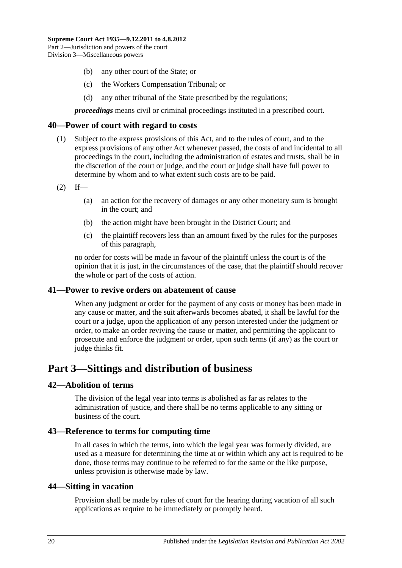- (b) any other court of the State; or
- (c) the Workers Compensation Tribunal; or
- (d) any other tribunal of the State prescribed by the regulations;

*proceedings* means civil or criminal proceedings instituted in a prescribed court.

#### <span id="page-19-0"></span>**40—Power of court with regard to costs**

- (1) Subject to the express provisions of this Act, and to the rules of court, and to the express provisions of any other Act whenever passed, the costs of and incidental to all proceedings in the court, including the administration of estates and trusts, shall be in the discretion of the court or judge, and the court or judge shall have full power to determine by whom and to what extent such costs are to be paid.
- $(2)$  If—
	- (a) an action for the recovery of damages or any other monetary sum is brought in the court; and
	- (b) the action might have been brought in the District Court; and
	- (c) the plaintiff recovers less than an amount fixed by the rules for the purposes of this paragraph,

no order for costs will be made in favour of the plaintiff unless the court is of the opinion that it is just, in the circumstances of the case, that the plaintiff should recover the whole or part of the costs of action.

#### <span id="page-19-1"></span>**41—Power to revive orders on abatement of cause**

When any judgment or order for the payment of any costs or money has been made in any cause or matter, and the suit afterwards becomes abated, it shall be lawful for the court or a judge, upon the application of any person interested under the judgment or order, to make an order reviving the cause or matter, and permitting the applicant to prosecute and enforce the judgment or order, upon such terms (if any) as the court or judge thinks fit.

## <span id="page-19-2"></span>**Part 3—Sittings and distribution of business**

#### <span id="page-19-3"></span>**42—Abolition of terms**

The division of the legal year into terms is abolished as far as relates to the administration of justice, and there shall be no terms applicable to any sitting or business of the court.

#### <span id="page-19-4"></span>**43—Reference to terms for computing time**

In all cases in which the terms, into which the legal year was formerly divided, are used as a measure for determining the time at or within which any act is required to be done, those terms may continue to be referred to for the same or the like purpose, unless provision is otherwise made by law.

#### <span id="page-19-5"></span>**44—Sitting in vacation**

Provision shall be made by rules of court for the hearing during vacation of all such applications as require to be immediately or promptly heard.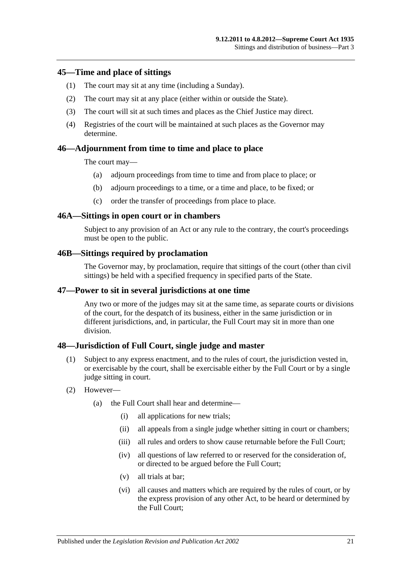#### <span id="page-20-0"></span>**45—Time and place of sittings**

- (1) The court may sit at any time (including a Sunday).
- (2) The court may sit at any place (either within or outside the State).
- (3) The court will sit at such times and places as the Chief Justice may direct.
- (4) Registries of the court will be maintained at such places as the Governor may determine.

### <span id="page-20-1"></span>**46—Adjournment from time to time and place to place**

The court may—

- (a) adjourn proceedings from time to time and from place to place; or
- (b) adjourn proceedings to a time, or a time and place, to be fixed; or
- (c) order the transfer of proceedings from place to place.

#### <span id="page-20-2"></span>**46A—Sittings in open court or in chambers**

Subject to any provision of an Act or any rule to the contrary, the court's proceedings must be open to the public.

#### <span id="page-20-3"></span>**46B—Sittings required by proclamation**

The Governor may, by proclamation, require that sittings of the court (other than civil sittings) be held with a specified frequency in specified parts of the State.

#### <span id="page-20-4"></span>**47—Power to sit in several jurisdictions at one time**

Any two or more of the judges may sit at the same time, as separate courts or divisions of the court, for the despatch of its business, either in the same jurisdiction or in different jurisdictions, and, in particular, the Full Court may sit in more than one division.

#### <span id="page-20-5"></span>**48—Jurisdiction of Full Court, single judge and master**

- (1) Subject to any express enactment, and to the rules of court, the jurisdiction vested in, or exercisable by the court, shall be exercisable either by the Full Court or by a single judge sitting in court.
- (2) However—
	- (a) the Full Court shall hear and determine—
		- (i) all applications for new trials;
		- (ii) all appeals from a single judge whether sitting in court or chambers;
		- (iii) all rules and orders to show cause returnable before the Full Court:
		- (iv) all questions of law referred to or reserved for the consideration of, or directed to be argued before the Full Court;
		- (v) all trials at bar;
		- (vi) all causes and matters which are required by the rules of court, or by the express provision of any other Act, to be heard or determined by the Full Court;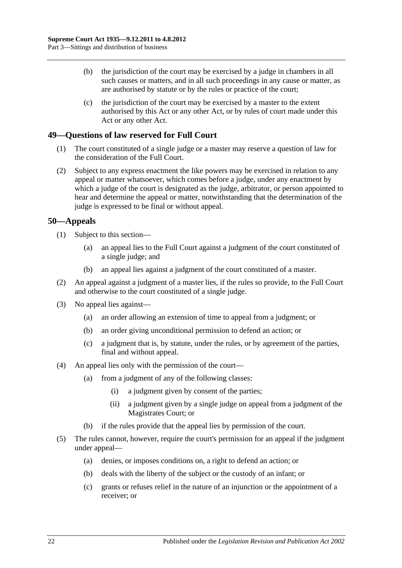- (b) the jurisdiction of the court may be exercised by a judge in chambers in all such causes or matters, and in all such proceedings in any cause or matter, as are authorised by statute or by the rules or practice of the court;
- (c) the jurisdiction of the court may be exercised by a master to the extent authorised by this Act or any other Act, or by rules of court made under this Act or any other Act.

## <span id="page-21-0"></span>**49—Questions of law reserved for Full Court**

- (1) The court constituted of a single judge or a master may reserve a question of law for the consideration of the Full Court.
- (2) Subject to any express enactment the like powers may be exercised in relation to any appeal or matter whatsoever, which comes before a judge, under any enactment by which a judge of the court is designated as the judge, arbitrator, or person appointed to hear and determine the appeal or matter, notwithstanding that the determination of the judge is expressed to be final or without appeal.

## <span id="page-21-1"></span>**50—Appeals**

- (1) Subject to this section—
	- (a) an appeal lies to the Full Court against a judgment of the court constituted of a single judge; and
	- (b) an appeal lies against a judgment of the court constituted of a master.
- (2) An appeal against a judgment of a master lies, if the rules so provide, to the Full Court and otherwise to the court constituted of a single judge.
- (3) No appeal lies against—
	- (a) an order allowing an extension of time to appeal from a judgment; or
	- (b) an order giving unconditional permission to defend an action; or
	- (c) a judgment that is, by statute, under the rules, or by agreement of the parties, final and without appeal.
- (4) An appeal lies only with the permission of the court—
	- (a) from a judgment of any of the following classes:
		- (i) a judgment given by consent of the parties;
		- (ii) a judgment given by a single judge on appeal from a judgment of the Magistrates Court; or
	- (b) if the rules provide that the appeal lies by permission of the court.
- (5) The rules cannot, however, require the court's permission for an appeal if the judgment under appeal—
	- (a) denies, or imposes conditions on, a right to defend an action; or
	- (b) deals with the liberty of the subject or the custody of an infant; or
	- (c) grants or refuses relief in the nature of an injunction or the appointment of a receiver; or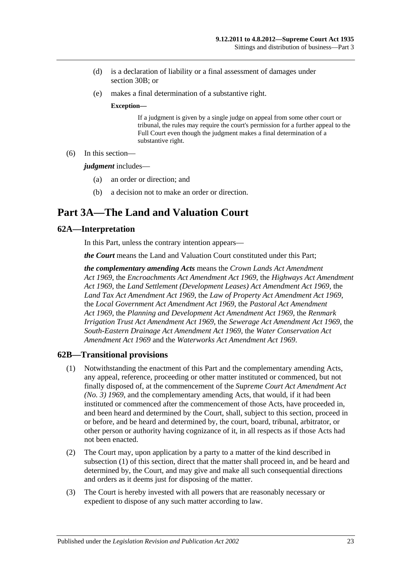- (d) is a declaration of liability or a final assessment of damages under [section](#page-13-2) 30B; or
- (e) makes a final determination of a substantive right.

#### **Exception—**

If a judgment is given by a single judge on appeal from some other court or tribunal, the rules may require the court's permission for a further appeal to the Full Court even though the judgment makes a final determination of a substantive right.

(6) In this section—

*judgment* includes—

- (a) an order or direction; and
- (b) a decision not to make an order or direction.

# <span id="page-22-0"></span>**Part 3A—The Land and Valuation Court**

### <span id="page-22-1"></span>**62A—Interpretation**

In this Part, unless the contrary intention appears—

*the Court* means the Land and Valuation Court constituted under this Part;

*the complementary amending Acts* means the *[Crown Lands Act Amendment](http://www.legislation.sa.gov.au/index.aspx?action=legref&type=act&legtitle=Crown%20Lands%20Act%20Amendment%20Act%201969)  Act [1969](http://www.legislation.sa.gov.au/index.aspx?action=legref&type=act&legtitle=Crown%20Lands%20Act%20Amendment%20Act%201969)*, the *[Encroachments Act Amendment Act](http://www.legislation.sa.gov.au/index.aspx?action=legref&type=act&legtitle=Encroachments%20Act%20Amendment%20Act%201969) 1969*, the *[Highways Act Amendment](http://www.legislation.sa.gov.au/index.aspx?action=legref&type=act&legtitle=Highways%20Act%20Amendment%20Act%201969)  Act [1969](http://www.legislation.sa.gov.au/index.aspx?action=legref&type=act&legtitle=Highways%20Act%20Amendment%20Act%201969)*, the *[Land Settlement \(Development Leases\) Act Amendment Act](http://www.legislation.sa.gov.au/index.aspx?action=legref&type=act&legtitle=Land%20Settlement%20(Development%20Leases)%20Act%20Amendment%20Act%201969) 1969*, the *[Land Tax Act Amendment Act](http://www.legislation.sa.gov.au/index.aspx?action=legref&type=act&legtitle=Land%20Tax%20Act%20Amendment%20Act%201969) 1969*, the *[Law of Property Act Amendment Act](http://www.legislation.sa.gov.au/index.aspx?action=legref&type=act&legtitle=Law%20of%20Property%20Act%20Amendment%20Act%201969) 1969*, the *[Local Government Act Amendment Act](http://www.legislation.sa.gov.au/index.aspx?action=legref&type=act&legtitle=Local%20Government%20Act%20Amendment%20Act%201969) 1969*, the *[Pastoral Act Amendment](http://www.legislation.sa.gov.au/index.aspx?action=legref&type=act&legtitle=Pastoral%20Act%20Amendment%20Act%201969)  Act [1969](http://www.legislation.sa.gov.au/index.aspx?action=legref&type=act&legtitle=Pastoral%20Act%20Amendment%20Act%201969)*, the *[Planning and Development Act Amendment Act](http://www.legislation.sa.gov.au/index.aspx?action=legref&type=act&legtitle=Planning%20and%20Development%20Act%20Amendment%20Act%201969) 1969*, the *[Renmark](http://www.legislation.sa.gov.au/index.aspx?action=legref&type=act&legtitle=Renmark%20Irrigation%20Trust%20Act%20Amendment%20Act%201969)  [Irrigation Trust Act Amendment Act](http://www.legislation.sa.gov.au/index.aspx?action=legref&type=act&legtitle=Renmark%20Irrigation%20Trust%20Act%20Amendment%20Act%201969) 1969*, the *[Sewerage Act Amendment Act](http://www.legislation.sa.gov.au/index.aspx?action=legref&type=act&legtitle=Sewerage%20Act%20Amendment%20Act%201969) 1969*, the *[South-Eastern Drainage Act Amendment Act](http://www.legislation.sa.gov.au/index.aspx?action=legref&type=act&legtitle=South-Eastern%20Drainage%20Act%20Amendment%20Act%201969) 1969*, the *[Water Conservation Act](http://www.legislation.sa.gov.au/index.aspx?action=legref&type=act&legtitle=Water%20Conservation%20Act%20Amendment%20Act%201969)  [Amendment Act](http://www.legislation.sa.gov.au/index.aspx?action=legref&type=act&legtitle=Water%20Conservation%20Act%20Amendment%20Act%201969) 1969* and the *[Waterworks Act Amendment Act](http://www.legislation.sa.gov.au/index.aspx?action=legref&type=act&legtitle=Waterworks%20Act%20Amendment%20Act%201969) 1969*.

#### <span id="page-22-3"></span><span id="page-22-2"></span>**62B—Transitional provisions**

- (1) Notwithstanding the enactment of this Part and the complementary amending Acts, any appeal, reference, proceeding or other matter instituted or commenced, but not finally disposed of, at the commencement of the *[Supreme Court Act Amendment Act](http://www.legislation.sa.gov.au/index.aspx?action=legref&type=act&legtitle=Supreme%20Court%20Act%20Amendment%20Act%20(No.%203)%201969)  [\(No. 3\)](http://www.legislation.sa.gov.au/index.aspx?action=legref&type=act&legtitle=Supreme%20Court%20Act%20Amendment%20Act%20(No.%203)%201969) 1969*, and the complementary amending Acts, that would, if it had been instituted or commenced after the commencement of those Acts, have proceeded in, and been heard and determined by the Court, shall, subject to this section, proceed in or before, and be heard and determined by, the court, board, tribunal, arbitrator, or other person or authority having cognizance of it, in all respects as if those Acts had not been enacted.
- (2) The Court may, upon application by a party to a matter of the kind described in [subsection](#page-22-3) (1) of this section, direct that the matter shall proceed in, and be heard and determined by, the Court, and may give and make all such consequential directions and orders as it deems just for disposing of the matter.
- (3) The Court is hereby invested with all powers that are reasonably necessary or expedient to dispose of any such matter according to law.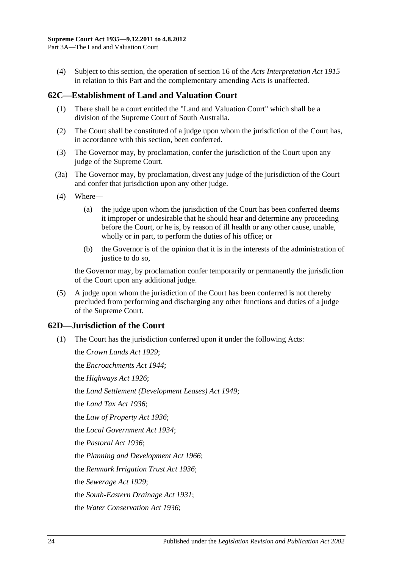(4) Subject to this section, the operation of section 16 of the *[Acts Interpretation Act](http://www.legislation.sa.gov.au/index.aspx?action=legref&type=act&legtitle=Acts%20Interpretation%20Act%201915) 1915* in relation to this Part and the complementary amending Acts is unaffected.

## <span id="page-23-0"></span>**62C—Establishment of Land and Valuation Court**

- (1) There shall be a court entitled the "Land and Valuation Court" which shall be a division of the Supreme Court of South Australia.
- (2) The Court shall be constituted of a judge upon whom the jurisdiction of the Court has, in accordance with this section, been conferred.
- (3) The Governor may, by proclamation, confer the jurisdiction of the Court upon any judge of the Supreme Court.
- (3a) The Governor may, by proclamation, divest any judge of the jurisdiction of the Court and confer that jurisdiction upon any other judge.
- (4) Where—
	- (a) the judge upon whom the jurisdiction of the Court has been conferred deems it improper or undesirable that he should hear and determine any proceeding before the Court, or he is, by reason of ill health or any other cause, unable, wholly or in part, to perform the duties of his office; or
	- (b) the Governor is of the opinion that it is in the interests of the administration of justice to do so.

the Governor may, by proclamation confer temporarily or permanently the jurisdiction of the Court upon any additional judge.

(5) A judge upon whom the jurisdiction of the Court has been conferred is not thereby precluded from performing and discharging any other functions and duties of a judge of the Supreme Court.

## <span id="page-23-1"></span>**62D—Jurisdiction of the Court**

(1) The Court has the jurisdiction conferred upon it under the following Acts:

the *[Crown Lands Act](http://www.legislation.sa.gov.au/index.aspx?action=legref&type=act&legtitle=Crown%20Lands%20Act%201929) 1929*; the *[Encroachments Act](http://www.legislation.sa.gov.au/index.aspx?action=legref&type=act&legtitle=Encroachments%20Act%201944) 1944*; the *[Highways Act](http://www.legislation.sa.gov.au/index.aspx?action=legref&type=act&legtitle=Highways%20Act%201926) 1926*; the *[Land Settlement \(Development Leases\) Act](http://www.legislation.sa.gov.au/index.aspx?action=legref&type=act&legtitle=Land%20Settlement%20(Development%20Leases)%20Act%201949) 1949*; the *[Land Tax Act](http://www.legislation.sa.gov.au/index.aspx?action=legref&type=act&legtitle=Land%20Tax%20Act%201936) 1936*; the *[Law of Property Act](http://www.legislation.sa.gov.au/index.aspx?action=legref&type=act&legtitle=Law%20of%20Property%20Act%201936) 1936*; the *[Local Government Act](http://www.legislation.sa.gov.au/index.aspx?action=legref&type=act&legtitle=Local%20Government%20Act%201934) 1934*; the *[Pastoral Act](http://www.legislation.sa.gov.au/index.aspx?action=legref&type=act&legtitle=Pastoral%20Act%201936) 1936*; the *[Planning and Development Act](http://www.legislation.sa.gov.au/index.aspx?action=legref&type=act&legtitle=Planning%20and%20Development%20Act%201966) 1966*; the *[Renmark Irrigation Trust Act](http://www.legislation.sa.gov.au/index.aspx?action=legref&type=act&legtitle=Renmark%20Irrigation%20Trust%20Act%201936) 1936*; the *[Sewerage Act](http://www.legislation.sa.gov.au/index.aspx?action=legref&type=act&legtitle=Sewerage%20Act%201929) 1929*; the *[South-Eastern Drainage Act](http://www.legislation.sa.gov.au/index.aspx?action=legref&type=act&legtitle=South-Eastern%20Drainage%20Act%201931) 1931*; the *[Water Conservation Act](http://www.legislation.sa.gov.au/index.aspx?action=legref&type=act&legtitle=Water%20Conservation%20Act%201936) 1936*;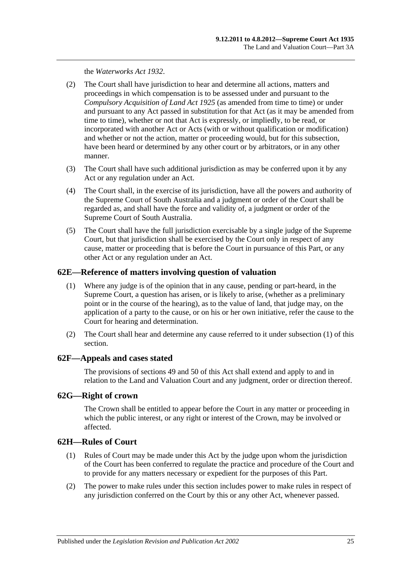the *[Waterworks Act](http://www.legislation.sa.gov.au/index.aspx?action=legref&type=act&legtitle=Waterworks%20Act%201932) 1932*.

- (2) The Court shall have jurisdiction to hear and determine all actions, matters and proceedings in which compensation is to be assessed under and pursuant to the *[Compulsory Acquisition of Land Act](http://www.legislation.sa.gov.au/index.aspx?action=legref&type=act&legtitle=Compulsory%20Acquisition%20of%20Land%20Act%201925) 1925* (as amended from time to time) or under and pursuant to any Act passed in substitution for that Act (as it may be amended from time to time), whether or not that Act is expressly, or impliedly, to be read, or incorporated with another Act or Acts (with or without qualification or modification) and whether or not the action, matter or proceeding would, but for this subsection, have been heard or determined by any other court or by arbitrators, or in any other manner.
- (3) The Court shall have such additional jurisdiction as may be conferred upon it by any Act or any regulation under an Act.
- (4) The Court shall, in the exercise of its jurisdiction, have all the powers and authority of the Supreme Court of South Australia and a judgment or order of the Court shall be regarded as, and shall have the force and validity of, a judgment or order of the Supreme Court of South Australia.
- (5) The Court shall have the full jurisdiction exercisable by a single judge of the Supreme Court, but that jurisdiction shall be exercised by the Court only in respect of any cause, matter or proceeding that is before the Court in pursuance of this Part, or any other Act or any regulation under an Act.

#### <span id="page-24-4"></span><span id="page-24-0"></span>**62E—Reference of matters involving question of valuation**

- (1) Where any judge is of the opinion that in any cause, pending or part-heard, in the Supreme Court, a question has arisen, or is likely to arise, (whether as a preliminary point or in the course of the hearing), as to the value of land, that judge may, on the application of a party to the cause, or on his or her own initiative, refer the cause to the Court for hearing and determination.
- (2) The Court shall hear and determine any cause referred to it under [subsection](#page-24-4) (1) of this section.

#### <span id="page-24-1"></span>**62F—Appeals and cases stated**

The provisions of [sections](#page-21-0) 49 and [50](#page-21-1) of this Act shall extend and apply to and in relation to the Land and Valuation Court and any judgment, order or direction thereof.

## <span id="page-24-2"></span>**62G—Right of crown**

The Crown shall be entitled to appear before the Court in any matter or proceeding in which the public interest, or any right or interest of the Crown, may be involved or affected.

#### <span id="page-24-3"></span>**62H—Rules of Court**

- (1) Rules of Court may be made under this Act by the judge upon whom the jurisdiction of the Court has been conferred to regulate the practice and procedure of the Court and to provide for any matters necessary or expedient for the purposes of this Part.
- (2) The power to make rules under this section includes power to make rules in respect of any jurisdiction conferred on the Court by this or any other Act, whenever passed.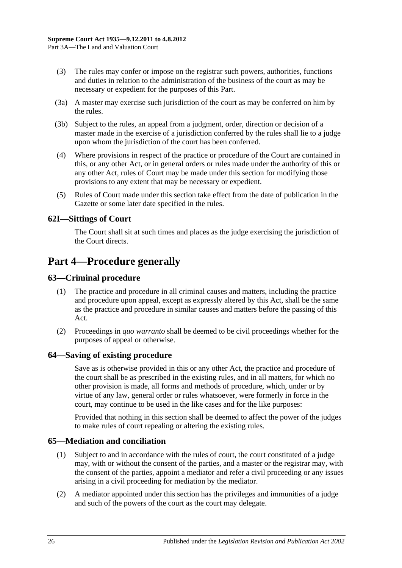- (3) The rules may confer or impose on the registrar such powers, authorities, functions and duties in relation to the administration of the business of the court as may be necessary or expedient for the purposes of this Part.
- (3a) A master may exercise such jurisdiction of the court as may be conferred on him by the rules.
- (3b) Subject to the rules, an appeal from a judgment, order, direction or decision of a master made in the exercise of a jurisdiction conferred by the rules shall lie to a judge upon whom the jurisdiction of the court has been conferred.
- (4) Where provisions in respect of the practice or procedure of the Court are contained in this, or any other Act, or in general orders or rules made under the authority of this or any other Act, rules of Court may be made under this section for modifying those provisions to any extent that may be necessary or expedient.
- (5) Rules of Court made under this section take effect from the date of publication in the Gazette or some later date specified in the rules.

## <span id="page-25-0"></span>**62I—Sittings of Court**

The Court shall sit at such times and places as the judge exercising the jurisdiction of the Court directs.

## <span id="page-25-1"></span>**Part 4—Procedure generally**

## <span id="page-25-2"></span>**63—Criminal procedure**

- (1) The practice and procedure in all criminal causes and matters, including the practice and procedure upon appeal, except as expressly altered by this Act, shall be the same as the practice and procedure in similar causes and matters before the passing of this Act.
- (2) Proceedings in *quo warranto* shall be deemed to be civil proceedings whether for the purposes of appeal or otherwise.

#### <span id="page-25-3"></span>**64—Saving of existing procedure**

Save as is otherwise provided in this or any other Act, the practice and procedure of the court shall be as prescribed in the existing rules, and in all matters, for which no other provision is made, all forms and methods of procedure, which, under or by virtue of any law, general order or rules whatsoever, were formerly in force in the court, may continue to be used in the like cases and for the like purposes:

Provided that nothing in this section shall be deemed to affect the power of the judges to make rules of court repealing or altering the existing rules.

#### <span id="page-25-4"></span>**65—Mediation and conciliation**

- (1) Subject to and in accordance with the rules of court, the court constituted of a judge may, with or without the consent of the parties, and a master or the registrar may, with the consent of the parties, appoint a mediator and refer a civil proceeding or any issues arising in a civil proceeding for mediation by the mediator.
- (2) A mediator appointed under this section has the privileges and immunities of a judge and such of the powers of the court as the court may delegate.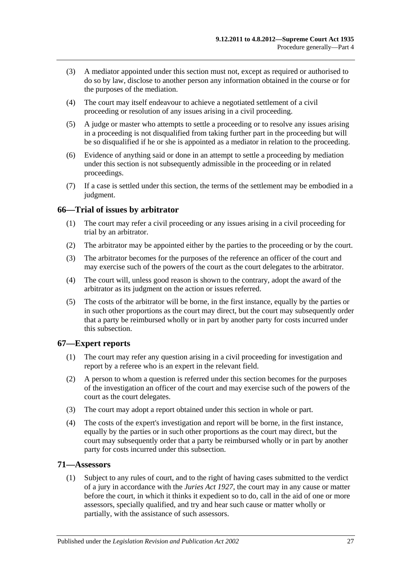- (3) A mediator appointed under this section must not, except as required or authorised to do so by law, disclose to another person any information obtained in the course or for the purposes of the mediation.
- (4) The court may itself endeavour to achieve a negotiated settlement of a civil proceeding or resolution of any issues arising in a civil proceeding.
- (5) A judge or master who attempts to settle a proceeding or to resolve any issues arising in a proceeding is not disqualified from taking further part in the proceeding but will be so disqualified if he or she is appointed as a mediator in relation to the proceeding.
- (6) Evidence of anything said or done in an attempt to settle a proceeding by mediation under this section is not subsequently admissible in the proceeding or in related proceedings.
- (7) If a case is settled under this section, the terms of the settlement may be embodied in a judgment.

## <span id="page-26-0"></span>**66—Trial of issues by arbitrator**

- (1) The court may refer a civil proceeding or any issues arising in a civil proceeding for trial by an arbitrator.
- (2) The arbitrator may be appointed either by the parties to the proceeding or by the court.
- (3) The arbitrator becomes for the purposes of the reference an officer of the court and may exercise such of the powers of the court as the court delegates to the arbitrator.
- (4) The court will, unless good reason is shown to the contrary, adopt the award of the arbitrator as its judgment on the action or issues referred.
- (5) The costs of the arbitrator will be borne, in the first instance, equally by the parties or in such other proportions as the court may direct, but the court may subsequently order that a party be reimbursed wholly or in part by another party for costs incurred under this subsection.

## <span id="page-26-1"></span>**67—Expert reports**

- (1) The court may refer any question arising in a civil proceeding for investigation and report by a referee who is an expert in the relevant field.
- (2) A person to whom a question is referred under this section becomes for the purposes of the investigation an officer of the court and may exercise such of the powers of the court as the court delegates.
- (3) The court may adopt a report obtained under this section in whole or part.
- (4) The costs of the expert's investigation and report will be borne, in the first instance, equally by the parties or in such other proportions as the court may direct, but the court may subsequently order that a party be reimbursed wholly or in part by another party for costs incurred under this subsection.

## <span id="page-26-2"></span>**71—Assessors**

(1) Subject to any rules of court, and to the right of having cases submitted to the verdict of a jury in accordance with the *[Juries Act](http://www.legislation.sa.gov.au/index.aspx?action=legref&type=act&legtitle=Juries%20Act%201927) 1927*, the court may in any cause or matter before the court, in which it thinks it expedient so to do, call in the aid of one or more assessors, specially qualified, and try and hear such cause or matter wholly or partially, with the assistance of such assessors.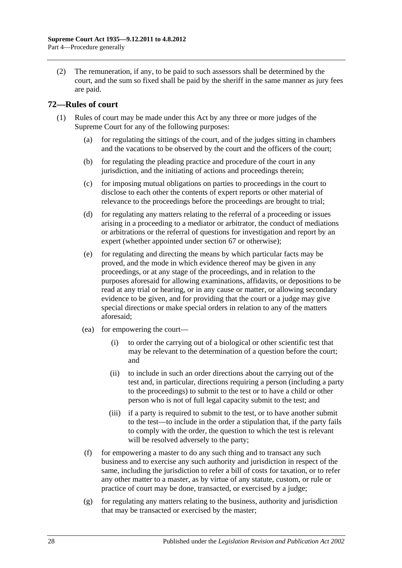(2) The remuneration, if any, to be paid to such assessors shall be determined by the court, and the sum so fixed shall be paid by the sheriff in the same manner as jury fees are paid.

## <span id="page-27-0"></span>**72—Rules of court**

- (1) Rules of court may be made under this Act by any three or more judges of the Supreme Court for any of the following purposes:
	- (a) for regulating the sittings of the court, and of the judges sitting in chambers and the vacations to be observed by the court and the officers of the court;
	- (b) for regulating the pleading practice and procedure of the court in any jurisdiction, and the initiating of actions and proceedings therein;
	- (c) for imposing mutual obligations on parties to proceedings in the court to disclose to each other the contents of expert reports or other material of relevance to the proceedings before the proceedings are brought to trial;
	- (d) for regulating any matters relating to the referral of a proceeding or issues arising in a proceeding to a mediator or arbitrator, the conduct of mediations or arbitrations or the referral of questions for investigation and report by an expert (whether appointed under [section](#page-26-1) 67 or otherwise);
	- (e) for regulating and directing the means by which particular facts may be proved, and the mode in which evidence thereof may be given in any proceedings, or at any stage of the proceedings, and in relation to the purposes aforesaid for allowing examinations, affidavits, or depositions to be read at any trial or hearing, or in any cause or matter, or allowing secondary evidence to be given, and for providing that the court or a judge may give special directions or make special orders in relation to any of the matters aforesaid;
	- (ea) for empowering the court—
		- (i) to order the carrying out of a biological or other scientific test that may be relevant to the determination of a question before the court; and
		- (ii) to include in such an order directions about the carrying out of the test and, in particular, directions requiring a person (including a party to the proceedings) to submit to the test or to have a child or other person who is not of full legal capacity submit to the test; and
		- (iii) if a party is required to submit to the test, or to have another submit to the test—to include in the order a stipulation that, if the party fails to comply with the order, the question to which the test is relevant will be resolved adversely to the party;
	- (f) for empowering a master to do any such thing and to transact any such business and to exercise any such authority and jurisdiction in respect of the same, including the jurisdiction to refer a bill of costs for taxation, or to refer any other matter to a master, as by virtue of any statute, custom, or rule or practice of court may be done, transacted, or exercised by a judge;
	- $(g)$  for regulating any matters relating to the business, authority and jurisdiction that may be transacted or exercised by the master;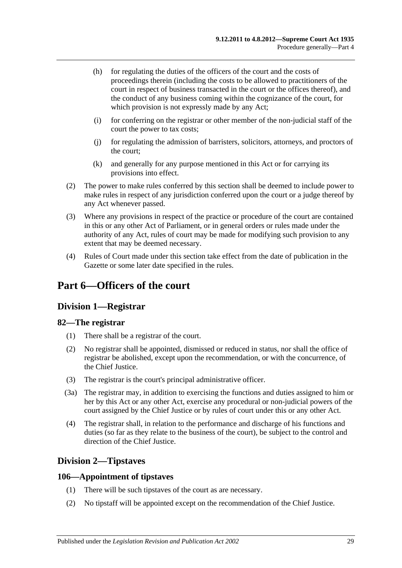- (h) for regulating the duties of the officers of the court and the costs of proceedings therein (including the costs to be allowed to practitioners of the court in respect of business transacted in the court or the offices thereof), and the conduct of any business coming within the cognizance of the court, for which provision is not expressly made by any Act;
- (i) for conferring on the registrar or other member of the non-judicial staff of the court the power to tax costs;
- (j) for regulating the admission of barristers, solicitors, attorneys, and proctors of the court;
- (k) and generally for any purpose mentioned in this Act or for carrying its provisions into effect.
- (2) The power to make rules conferred by this section shall be deemed to include power to make rules in respect of any jurisdiction conferred upon the court or a judge thereof by any Act whenever passed.
- (3) Where any provisions in respect of the practice or procedure of the court are contained in this or any other Act of Parliament, or in general orders or rules made under the authority of any Act, rules of court may be made for modifying such provision to any extent that may be deemed necessary.
- (4) Rules of Court made under this section take effect from the date of publication in the Gazette or some later date specified in the rules.

# <span id="page-28-0"></span>**Part 6—Officers of the court**

## <span id="page-28-1"></span>**Division 1—Registrar**

## <span id="page-28-2"></span>**82—The registrar**

- (1) There shall be a registrar of the court.
- (2) No registrar shall be appointed, dismissed or reduced in status, nor shall the office of registrar be abolished, except upon the recommendation, or with the concurrence, of the Chief Justice.
- (3) The registrar is the court's principal administrative officer.
- (3a) The registrar may, in addition to exercising the functions and duties assigned to him or her by this Act or any other Act, exercise any procedural or non-judicial powers of the court assigned by the Chief Justice or by rules of court under this or any other Act.
- (4) The registrar shall, in relation to the performance and discharge of his functions and duties (so far as they relate to the business of the court), be subject to the control and direction of the Chief Justice.

## <span id="page-28-3"></span>**Division 2—Tipstaves**

## <span id="page-28-4"></span>**106—Appointment of tipstaves**

- (1) There will be such tipstaves of the court as are necessary.
- (2) No tipstaff will be appointed except on the recommendation of the Chief Justice.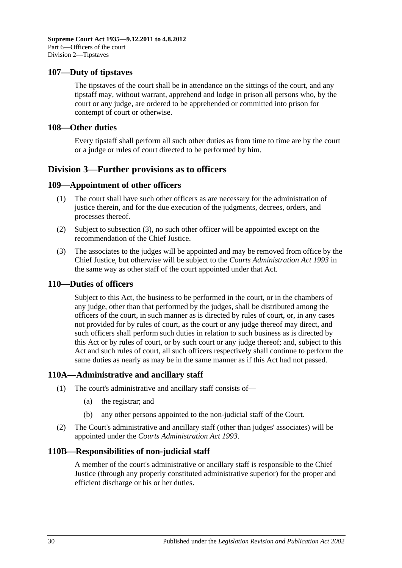### <span id="page-29-0"></span>**107—Duty of tipstaves**

The tipstaves of the court shall be in attendance on the sittings of the court, and any tipstaff may, without warrant, apprehend and lodge in prison all persons who, by the court or any judge, are ordered to be apprehended or committed into prison for contempt of court or otherwise.

#### <span id="page-29-1"></span>**108—Other duties**

Every tipstaff shall perform all such other duties as from time to time are by the court or a judge or rules of court directed to be performed by him.

## <span id="page-29-2"></span>**Division 3—Further provisions as to officers**

### <span id="page-29-3"></span>**109—Appointment of other officers**

- (1) The court shall have such other officers as are necessary for the administration of justice therein, and for the due execution of the judgments, decrees, orders, and processes thereof.
- (2) Subject to [subsection](#page-29-7) (3), no such other officer will be appointed except on the recommendation of the Chief Justice.
- <span id="page-29-7"></span>(3) The associates to the judges will be appointed and may be removed from office by the Chief Justice, but otherwise will be subject to the *[Courts Administration Act](http://www.legislation.sa.gov.au/index.aspx?action=legref&type=act&legtitle=Courts%20Administration%20Act%201993) 1993* in the same way as other staff of the court appointed under that Act.

#### <span id="page-29-4"></span>**110—Duties of officers**

Subject to this Act, the business to be performed in the court, or in the chambers of any judge, other than that performed by the judges, shall be distributed among the officers of the court, in such manner as is directed by rules of court, or, in any cases not provided for by rules of court, as the court or any judge thereof may direct, and such officers shall perform such duties in relation to such business as is directed by this Act or by rules of court, or by such court or any judge thereof; and, subject to this Act and such rules of court, all such officers respectively shall continue to perform the same duties as nearly as may be in the same manner as if this Act had not passed.

## <span id="page-29-5"></span>**110A—Administrative and ancillary staff**

- (1) The court's administrative and ancillary staff consists of—
	- (a) the registrar; and
	- (b) any other persons appointed to the non-judicial staff of the Court.
- (2) The Court's administrative and ancillary staff (other than judges' associates) will be appointed under the *[Courts Administration Act](http://www.legislation.sa.gov.au/index.aspx?action=legref&type=act&legtitle=Courts%20Administration%20Act%201993) 1993*.

#### <span id="page-29-6"></span>**110B—Responsibilities of non-judicial staff**

A member of the court's administrative or ancillary staff is responsible to the Chief Justice (through any properly constituted administrative superior) for the proper and efficient discharge or his or her duties.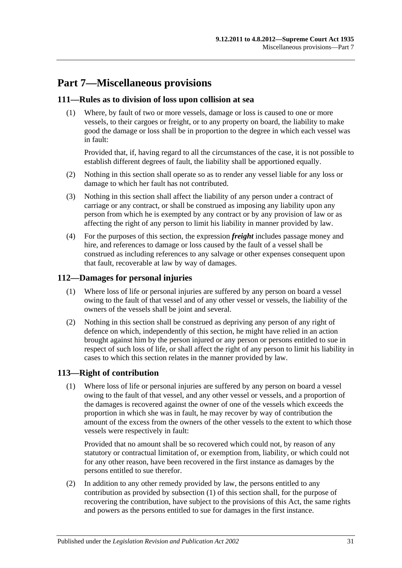# <span id="page-30-0"></span>**Part 7—Miscellaneous provisions**

## <span id="page-30-1"></span>**111—Rules as to division of loss upon collision at sea**

(1) Where, by fault of two or more vessels, damage or loss is caused to one or more vessels, to their cargoes or freight, or to any property on board, the liability to make good the damage or loss shall be in proportion to the degree in which each vessel was in fault:

Provided that, if, having regard to all the circumstances of the case, it is not possible to establish different degrees of fault, the liability shall be apportioned equally.

- (2) Nothing in this section shall operate so as to render any vessel liable for any loss or damage to which her fault has not contributed.
- (3) Nothing in this section shall affect the liability of any person under a contract of carriage or any contract, or shall be construed as imposing any liability upon any person from which he is exempted by any contract or by any provision of law or as affecting the right of any person to limit his liability in manner provided by law.
- (4) For the purposes of this section, the expression *freight* includes passage money and hire, and references to damage or loss caused by the fault of a vessel shall be construed as including references to any salvage or other expenses consequent upon that fault, recoverable at law by way of damages.

## <span id="page-30-2"></span>**112—Damages for personal injuries**

- (1) Where loss of life or personal injuries are suffered by any person on board a vessel owing to the fault of that vessel and of any other vessel or vessels, the liability of the owners of the vessels shall be joint and several.
- (2) Nothing in this section shall be construed as depriving any person of any right of defence on which, independently of this section, he might have relied in an action brought against him by the person injured or any person or persons entitled to sue in respect of such loss of life, or shall affect the right of any person to limit his liability in cases to which this section relates in the manner provided by law.

## <span id="page-30-4"></span><span id="page-30-3"></span>**113—Right of contribution**

(1) Where loss of life or personal injuries are suffered by any person on board a vessel owing to the fault of that vessel, and any other vessel or vessels, and a proportion of the damages is recovered against the owner of one of the vessels which exceeds the proportion in which she was in fault, he may recover by way of contribution the amount of the excess from the owners of the other vessels to the extent to which those vessels were respectively in fault:

Provided that no amount shall be so recovered which could not, by reason of any statutory or contractual limitation of, or exemption from, liability, or which could not for any other reason, have been recovered in the first instance as damages by the persons entitled to sue therefor.

(2) In addition to any other remedy provided by law, the persons entitled to any contribution as provided by [subsection](#page-30-4) (1) of this section shall, for the purpose of recovering the contribution, have subject to the provisions of this Act, the same rights and powers as the persons entitled to sue for damages in the first instance.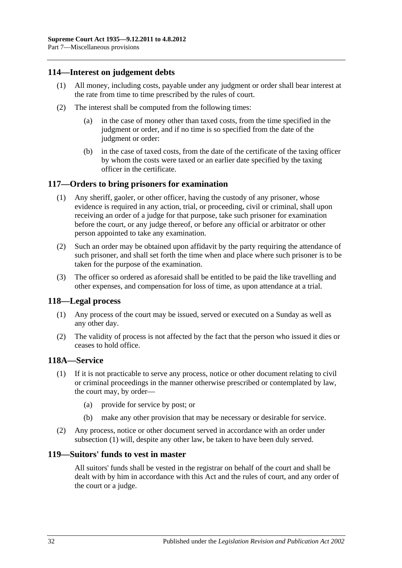## <span id="page-31-0"></span>**114—Interest on judgement debts**

- (1) All money, including costs, payable under any judgment or order shall bear interest at the rate from time to time prescribed by the rules of court.
- (2) The interest shall be computed from the following times:
	- (a) in the case of money other than taxed costs, from the time specified in the judgment or order, and if no time is so specified from the date of the judgment or order:
	- (b) in the case of taxed costs, from the date of the certificate of the taxing officer by whom the costs were taxed or an earlier date specified by the taxing officer in the certificate.

### <span id="page-31-1"></span>**117—Orders to bring prisoners for examination**

- (1) Any sheriff, gaoler, or other officer, having the custody of any prisoner, whose evidence is required in any action, trial, or proceeding, civil or criminal, shall upon receiving an order of a judge for that purpose, take such prisoner for examination before the court, or any judge thereof, or before any official or arbitrator or other person appointed to take any examination.
- (2) Such an order may be obtained upon affidavit by the party requiring the attendance of such prisoner, and shall set forth the time when and place where such prisoner is to be taken for the purpose of the examination.
- (3) The officer so ordered as aforesaid shall be entitled to be paid the like travelling and other expenses, and compensation for loss of time, as upon attendance at a trial.

#### <span id="page-31-2"></span>**118—Legal process**

- (1) Any process of the court may be issued, served or executed on a Sunday as well as any other day.
- (2) The validity of process is not affected by the fact that the person who issued it dies or ceases to hold office.

#### <span id="page-31-5"></span><span id="page-31-3"></span>**118A—Service**

- (1) If it is not practicable to serve any process, notice or other document relating to civil or criminal proceedings in the manner otherwise prescribed or contemplated by law, the court may, by order—
	- (a) provide for service by post; or
	- (b) make any other provision that may be necessary or desirable for service.
- (2) Any process, notice or other document served in accordance with an order under [subsection](#page-31-5) (1) will, despite any other law, be taken to have been duly served.

#### <span id="page-31-4"></span>**119—Suitors' funds to vest in master**

All suitors' funds shall be vested in the registrar on behalf of the court and shall be dealt with by him in accordance with this Act and the rules of court, and any order of the court or a judge.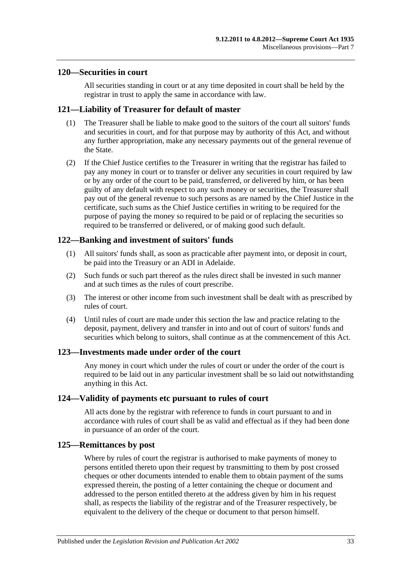#### <span id="page-32-0"></span>**120—Securities in court**

All securities standing in court or at any time deposited in court shall be held by the registrar in trust to apply the same in accordance with law.

## <span id="page-32-1"></span>**121—Liability of Treasurer for default of master**

- (1) The Treasurer shall be liable to make good to the suitors of the court all suitors' funds and securities in court, and for that purpose may by authority of this Act, and without any further appropriation, make any necessary payments out of the general revenue of the State.
- (2) If the Chief Justice certifies to the Treasurer in writing that the registrar has failed to pay any money in court or to transfer or deliver any securities in court required by law or by any order of the court to be paid, transferred, or delivered by him, or has been guilty of any default with respect to any such money or securities, the Treasurer shall pay out of the general revenue to such persons as are named by the Chief Justice in the certificate, such sums as the Chief Justice certifies in writing to be required for the purpose of paying the money so required to be paid or of replacing the securities so required to be transferred or delivered, or of making good such default.

## <span id="page-32-2"></span>**122—Banking and investment of suitors' funds**

- (1) All suitors' funds shall, as soon as practicable after payment into, or deposit in court, be paid into the Treasury or an ADI in Adelaide.
- (2) Such funds or such part thereof as the rules direct shall be invested in such manner and at such times as the rules of court prescribe.
- (3) The interest or other income from such investment shall be dealt with as prescribed by rules of court.
- (4) Until rules of court are made under this section the law and practice relating to the deposit, payment, delivery and transfer in into and out of court of suitors' funds and securities which belong to suitors, shall continue as at the commencement of this Act.

#### <span id="page-32-3"></span>**123—Investments made under order of the court**

Any money in court which under the rules of court or under the order of the court is required to be laid out in any particular investment shall be so laid out notwithstanding anything in this Act.

#### <span id="page-32-4"></span>**124—Validity of payments etc pursuant to rules of court**

All acts done by the registrar with reference to funds in court pursuant to and in accordance with rules of court shall be as valid and effectual as if they had been done in pursuance of an order of the court.

#### <span id="page-32-5"></span>**125—Remittances by post**

Where by rules of court the registrar is authorised to make payments of money to persons entitled thereto upon their request by transmitting to them by post crossed cheques or other documents intended to enable them to obtain payment of the sums expressed therein, the posting of a letter containing the cheque or document and addressed to the person entitled thereto at the address given by him in his request shall, as respects the liability of the registrar and of the Treasurer respectively, be equivalent to the delivery of the cheque or document to that person himself.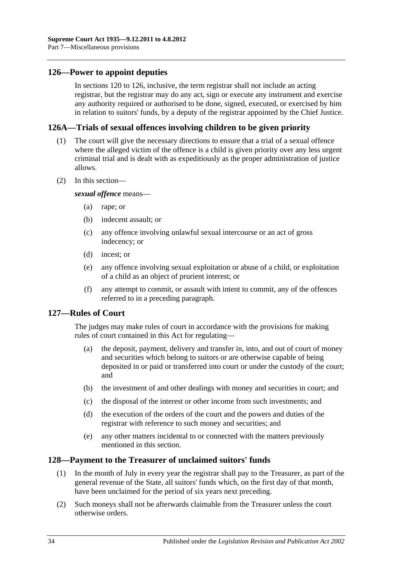## <span id="page-33-0"></span>**126—Power to appoint deputies**

In [sections](#page-32-0) 120 to 126, inclusive, the term registrar shall not include an acting registrar, but the registrar may do any act, sign or execute any instrument and exercise any authority required or authorised to be done, signed, executed, or exercised by him in relation to suitors' funds, by a deputy of the registrar appointed by the Chief Justice.

#### <span id="page-33-1"></span>**126A—Trials of sexual offences involving children to be given priority**

- (1) The court will give the necessary directions to ensure that a trial of a sexual offence where the alleged victim of the offence is a child is given priority over any less urgent criminal trial and is dealt with as expeditiously as the proper administration of justice allows.
- (2) In this section—

*sexual offence* means—

- (a) rape; or
- (b) indecent assault; or
- (c) any offence involving unlawful sexual intercourse or an act of gross indecency; or
- (d) incest; or
- (e) any offence involving sexual exploitation or abuse of a child, or exploitation of a child as an object of prurient interest; or
- (f) any attempt to commit, or assault with intent to commit, any of the offences referred to in a preceding paragraph.

#### <span id="page-33-2"></span>**127—Rules of Court**

The judges may make rules of court in accordance with the provisions for making rules of court contained in this Act for regulating—

- (a) the deposit, payment, delivery and transfer in, into, and out of court of money and securities which belong to suitors or are otherwise capable of being deposited in or paid or transferred into court or under the custody of the court; and
- (b) the investment of and other dealings with money and securities in court; and
- (c) the disposal of the interest or other income from such investments; and
- (d) the execution of the orders of the court and the powers and duties of the registrar with reference to such money and securities; and
- (e) any other matters incidental to or connected with the matters previously mentioned in this section.

### <span id="page-33-3"></span>**128—Payment to the Treasurer of unclaimed suitors' funds**

- (1) In the month of July in every year the registrar shall pay to the Treasurer, as part of the general revenue of the State, all suitors' funds which, on the first day of that month, have been unclaimed for the period of six years next preceding.
- (2) Such moneys shall not be afterwards claimable from the Treasurer unless the court otherwise orders.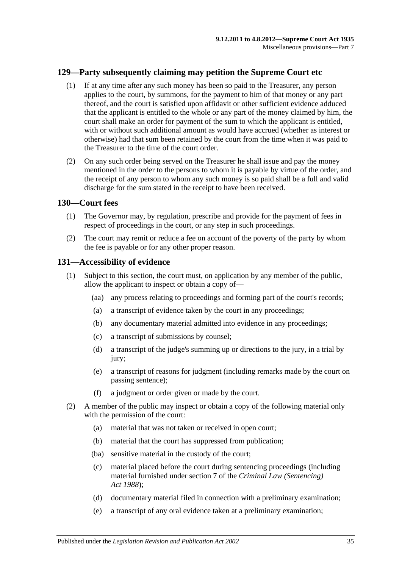## <span id="page-34-0"></span>**129—Party subsequently claiming may petition the Supreme Court etc**

- (1) If at any time after any such money has been so paid to the Treasurer, any person applies to the court, by summons, for the payment to him of that money or any part thereof, and the court is satisfied upon affidavit or other sufficient evidence adduced that the applicant is entitled to the whole or any part of the money claimed by him, the court shall make an order for payment of the sum to which the applicant is entitled, with or without such additional amount as would have accrued (whether as interest or otherwise) had that sum been retained by the court from the time when it was paid to the Treasurer to the time of the court order.
- (2) On any such order being served on the Treasurer he shall issue and pay the money mentioned in the order to the persons to whom it is payable by virtue of the order, and the receipt of any person to whom any such money is so paid shall be a full and valid discharge for the sum stated in the receipt to have been received.

### <span id="page-34-1"></span>**130—Court fees**

- (1) The Governor may, by regulation, prescribe and provide for the payment of fees in respect of proceedings in the court, or any step in such proceedings.
- (2) The court may remit or reduce a fee on account of the poverty of the party by whom the fee is payable or for any other proper reason.

#### <span id="page-34-2"></span>**131—Accessibility of evidence**

- (1) Subject to this section, the court must, on application by any member of the public, allow the applicant to inspect or obtain a copy of—
	- (aa) any process relating to proceedings and forming part of the court's records;
	- (a) a transcript of evidence taken by the court in any proceedings;
	- (b) any documentary material admitted into evidence in any proceedings;
	- (c) a transcript of submissions by counsel;
	- (d) a transcript of the judge's summing up or directions to the jury, in a trial by jury:
	- (e) a transcript of reasons for judgment (including remarks made by the court on passing sentence);
	- (f) a judgment or order given or made by the court.
- <span id="page-34-3"></span>(2) A member of the public may inspect or obtain a copy of the following material only with the permission of the court:
	- (a) material that was not taken or received in open court;
	- (b) material that the court has suppressed from publication;
	- (ba) sensitive material in the custody of the court;
	- (c) material placed before the court during sentencing proceedings (including material furnished under section 7 of the *[Criminal Law \(Sentencing\)](http://www.legislation.sa.gov.au/index.aspx?action=legref&type=act&legtitle=Criminal%20Law%20(Sentencing)%20Act%201988)  Act [1988](http://www.legislation.sa.gov.au/index.aspx?action=legref&type=act&legtitle=Criminal%20Law%20(Sentencing)%20Act%201988)*);
	- (d) documentary material filed in connection with a preliminary examination;
	- (e) a transcript of any oral evidence taken at a preliminary examination;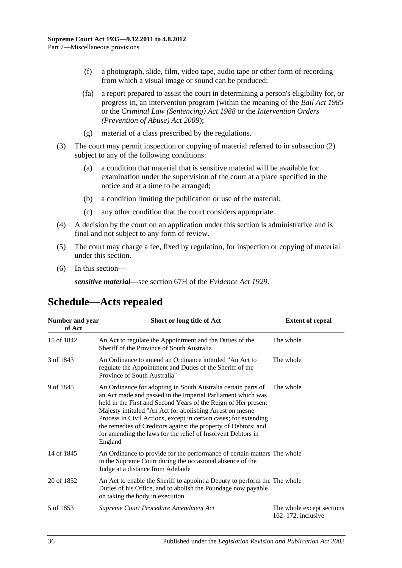- (f) a photograph, slide, film, video tape, audio tape or other form of recording from which a visual image or sound can be produced;
- (fa) a report prepared to assist the court in determining a person's eligibility for, or progress in, an intervention program (within the meaning of the *[Bail Act](http://www.legislation.sa.gov.au/index.aspx?action=legref&type=act&legtitle=Bail%20Act%201985) 1985* or the *[Criminal Law \(Sentencing\) Act](http://www.legislation.sa.gov.au/index.aspx?action=legref&type=act&legtitle=Criminal%20Law%20(Sentencing)%20Act%201988) 1988* or the *Intervention Orders (Prevention of Abuse) Act 2009*);
- (g) material of a class prescribed by the regulations.
- (3) The court may permit inspection or copying of material referred to in [subsection](#page-34-3) (2) subject to any of the following conditions:
	- (a) a condition that material that is sensitive material will be available for examination under the supervision of the court at a place specified in the notice and at a time to be arranged;
	- (b) a condition limiting the publication or use of the material;
	- (c) any other condition that the court considers appropriate.
- (4) A decision by the court on an application under this section is administrative and is final and not subject to any form of review.
- (5) The court may charge a fee, fixed by regulation, for inspection or copying of material under this section.
- (6) In this section—

*sensitive material*—see section 67H of the *[Evidence Act](http://www.legislation.sa.gov.au/index.aspx?action=legref&type=act&legtitle=Evidence%20Act%201929) 1929*.

## <span id="page-35-0"></span>**Schedule—Acts repealed**

| Number and year<br>of Act | Short or long title of Act                                                                                                                                                                                                                                                                                                                                                                                                                                                  | <b>Extent of repeal</b>                            |
|---------------------------|-----------------------------------------------------------------------------------------------------------------------------------------------------------------------------------------------------------------------------------------------------------------------------------------------------------------------------------------------------------------------------------------------------------------------------------------------------------------------------|----------------------------------------------------|
| 15 of 1842                | An Act to regulate the Appointment and the Duties of the<br>Sheriff of the Province of South Australia                                                                                                                                                                                                                                                                                                                                                                      | The whole                                          |
| 3 of 1843                 | An Ordinance to amend an Ordinance intituled "An Act to<br>regulate the Appointment and Duties of the Sheriff of the<br>Province of South Australia"                                                                                                                                                                                                                                                                                                                        | The whole                                          |
| 9 of 1845                 | An Ordinance for adopting in South Australia certain parts of<br>an Act made and passed in the Imperial Parliament which was<br>held in the First and Second Years of the Reign of Her present<br>Majesty intituled "An Act for abolishing Arrest on mesne<br>Process in Civil Actions, except in certain cases; for extending<br>the remedies of Creditors against the property of Debtors; and<br>for amending the laws for the relief of Insolvent Debtors in<br>England | The whole                                          |
| 14 of 1845                | An Ordinance to provide for the performance of certain matters The whole<br>in the Supreme Court during the occasional absence of the<br>Judge at a distance from Adelaide                                                                                                                                                                                                                                                                                                  |                                                    |
| 20 of 1852                | An Act to enable the Sheriff to appoint a Deputy to perform the The whole<br>Duties of his Office, and to abolish the Poundage now payable<br>on taking the body in execution                                                                                                                                                                                                                                                                                               |                                                    |
| 5 of 1853                 | Supreme Court Procedure Amendment Act                                                                                                                                                                                                                                                                                                                                                                                                                                       | The whole except sections<br>$162-172$ , inclusive |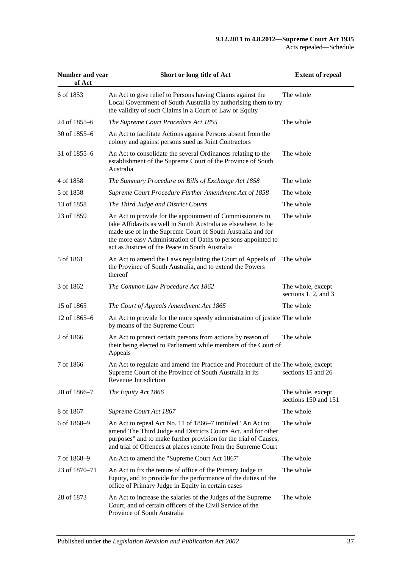| Number and year<br>of Act | Short or long title of Act                                                                                                                                                                                                                                                                                     | <b>Extent of repeal</b>                        |
|---------------------------|----------------------------------------------------------------------------------------------------------------------------------------------------------------------------------------------------------------------------------------------------------------------------------------------------------------|------------------------------------------------|
| 6 of 1853                 | An Act to give relief to Persons having Claims against the<br>Local Government of South Australia by authorising them to try<br>the validity of such Claims in a Court of Law or Equity                                                                                                                        | The whole                                      |
| 24 of 1855–6              | The Supreme Court Procedure Act 1855                                                                                                                                                                                                                                                                           | The whole                                      |
| 30 of $1855 - 6$          | An Act to facilitate Actions against Persons absent from the<br>colony and against persons sued as Joint Contractors                                                                                                                                                                                           |                                                |
| 31 of 1855–6              | An Act to consolidate the several Ordinances relating to the<br>establishment of the Supreme Court of the Province of South<br>Australia                                                                                                                                                                       | The whole                                      |
| 4 of 1858                 | The Summary Procedure on Bills of Exchange Act 1858                                                                                                                                                                                                                                                            | The whole                                      |
| 5 of 1858                 | Supreme Court Procedure Further Amendment Act of 1858                                                                                                                                                                                                                                                          | The whole                                      |
| 13 of 1858                | The Third Judge and District Courts                                                                                                                                                                                                                                                                            | The whole                                      |
| 23 of 1859                | An Act to provide for the appointment of Commissioners to<br>take Affidavits as well in South Australia as elsewhere, to be<br>made use of in the Supreme Court of South Australia and for<br>the more easy Administration of Oaths to persons appointed to<br>act as Justices of the Peace in South Australia | The whole                                      |
| 5 of 1861                 | An Act to amend the Laws regulating the Court of Appeals of<br>the Province of South Australia, and to extend the Powers<br>thereof                                                                                                                                                                            | The whole                                      |
| 3 of 1862                 | The Common Law Procedure Act 1862                                                                                                                                                                                                                                                                              | The whole, except<br>sections $1, 2$ , and $3$ |
| 15 of 1865                | The Court of Appeals Amendment Act 1865                                                                                                                                                                                                                                                                        | The whole                                      |
| 12 of 1865–6              | An Act to provide for the more speedy administration of justice The whole<br>by means of the Supreme Court                                                                                                                                                                                                     |                                                |
| 2 of 1866                 | An Act to protect certain persons from actions by reason of<br>their being elected to Parliament while members of the Court of<br>Appeals                                                                                                                                                                      | The whole                                      |
| 7 of 1866                 | An Act to regulate and amend the Practice and Procedure of the The whole, except<br>Supreme Court of the Province of South Australia in its<br>Revenue Jurisdiction                                                                                                                                            | sections 15 and 26                             |
| 20 of 1866-7              | The Equity Act 1866                                                                                                                                                                                                                                                                                            | The whole, except<br>sections 150 and 151      |
| 8 of 1867                 | Supreme Court Act 1867                                                                                                                                                                                                                                                                                         | The whole                                      |
| 6 of 1868-9               | An Act to repeal Act No. 11 of 1866–7 intituled "An Act to<br>amend The Third Judge and Districts Courts Act, and for other<br>purposes" and to make further provision for the trial of Causes,<br>and trial of Offences at places remote from the Supreme Court                                               | The whole                                      |
| 7 of 1868-9               | An Act to amend the "Supreme Court Act 1867"                                                                                                                                                                                                                                                                   | The whole                                      |
| 23 of 1870–71             | An Act to fix the tenure of office of the Primary Judge in<br>Equity, and to provide for the performance of the duties of the<br>office of Primary Judge in Equity in certain cases                                                                                                                            | The whole                                      |
| 28 of 1873                | An Act to increase the salaries of the Judges of the Supreme<br>Court, and of certain officers of the Civil Service of the<br>Province of South Australia                                                                                                                                                      | The whole                                      |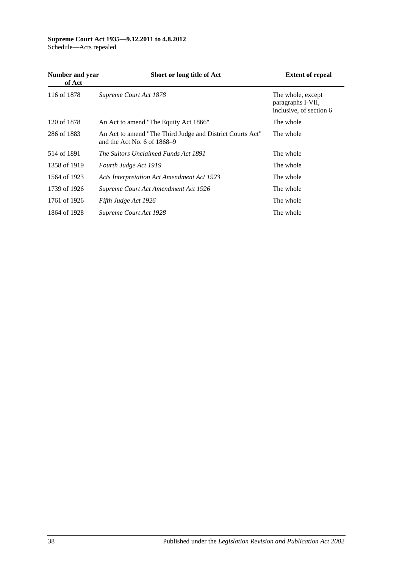#### **Supreme Court Act 1935—9.12.2011 to 4.8.2012** Schedule—Acts repealed

| Number and year<br>of Act | Short or long title of Act                                                                 | <b>Extent of repeal</b>                                           |
|---------------------------|--------------------------------------------------------------------------------------------|-------------------------------------------------------------------|
| 116 of 1878               | Supreme Court Act 1878                                                                     | The whole, except<br>paragraphs I-VII,<br>inclusive, of section 6 |
| 120 of 1878               | An Act to amend "The Equity Act 1866"                                                      | The whole                                                         |
| 286 of 1883               | An Act to amend "The Third Judge and District Courts Act"<br>and the Act No. 6 of $1868-9$ | The whole                                                         |
| 514 of 1891               | The Suitors Unclaimed Funds Act 1891                                                       | The whole                                                         |
| 1358 of 1919              | Fourth Judge Act 1919                                                                      | The whole                                                         |
| 1564 of 1923              | <b>Acts Interpretation Act Amendment Act 1923</b>                                          | The whole                                                         |
| 1739 of 1926              | Supreme Court Act Amendment Act 1926                                                       | The whole                                                         |
| 1761 of 1926              | Fifth Judge Act 1926                                                                       | The whole                                                         |
| 1864 of 1928              | Supreme Court Act 1928                                                                     | The whole                                                         |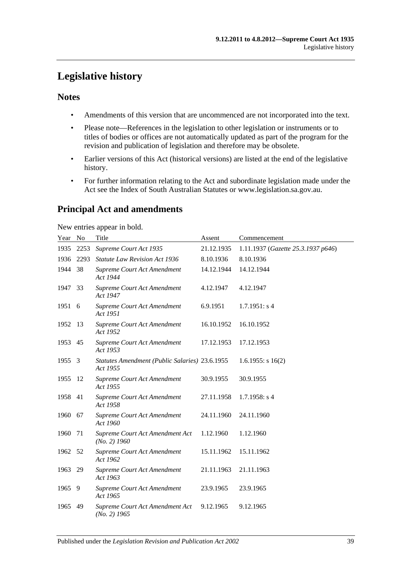# <span id="page-38-0"></span>**Legislative history**

## **Notes**

- Amendments of this version that are uncommenced are not incorporated into the text.
- Please note—References in the legislation to other legislation or instruments or to titles of bodies or offices are not automatically updated as part of the program for the revision and publication of legislation and therefore may be obsolete.
- Earlier versions of this Act (historical versions) are listed at the end of the legislative history.
- For further information relating to the Act and subordinate legislation made under the Act see the Index of South Australian Statutes or www.legislation.sa.gov.au.

## **Principal Act and amendments**

New entries appear in bold.

| Year No |      | Title                                                      | Assent     | Commencement                       |
|---------|------|------------------------------------------------------------|------------|------------------------------------|
| 1935    | 2253 | Supreme Court Act 1935                                     | 21.12.1935 | 1.11.1937 (Gazette 25.3.1937 p646) |
| 1936    | 2293 | <b>Statute Law Revision Act 1936</b>                       | 8.10.1936  | 8.10.1936                          |
| 1944    | 38   | Supreme Court Act Amendment<br>Act 1944                    | 14.12.1944 | 14.12.1944                         |
| 1947    | 33   | Supreme Court Act Amendment<br>Act 1947                    | 4.12.1947  | 4.12.1947                          |
| 1951 6  |      | <b>Supreme Court Act Amendment</b><br>Act 1951             | 6.9.1951   | 1.7.1951: s4                       |
| 1952    | -13  | Supreme Court Act Amendment<br>Act 1952                    | 16.10.1952 | 16.10.1952                         |
| 1953 45 |      | Supreme Court Act Amendment<br>Act 1953                    | 17.12.1953 | 17.12.1953                         |
| 1955    | 3    | Statutes Amendment (Public Salaries) 23.6.1955<br>Act 1955 |            | $1.6.1955$ : s 16(2)               |
| 1955    | -12  | Supreme Court Act Amendment<br>Act 1955                    | 30.9.1955  | 30.9.1955                          |
| 1958    | -41  | Supreme Court Act Amendment<br>Act 1958                    | 27.11.1958 | $1.7.1958$ : s 4                   |
| 1960    | 67   | Supreme Court Act Amendment<br>Act 1960                    | 24.11.1960 | 24.11.1960                         |
| 1960    | 71   | Supreme Court Act Amendment Act<br>$(No. 2)$ 1960          | 1.12.1960  | 1.12.1960                          |
| 1962    | - 52 | Supreme Court Act Amendment<br>Act 1962                    | 15.11.1962 | 15.11.1962                         |
| 1963    | 29   | Supreme Court Act Amendment<br>Act 1963                    | 21.11.1963 | 21.11.1963                         |
| 1965    | - 9  | Supreme Court Act Amendment<br>Act 1965                    | 23.9.1965  | 23.9.1965                          |
| 1965    | 49   | Supreme Court Act Amendment Act<br>$(No. 2)$ 1965          | 9.12.1965  | 9.12.1965                          |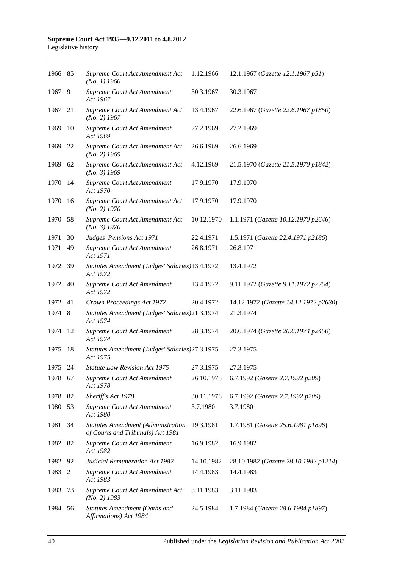| 1966 85 |     | Supreme Court Act Amendment Act<br>$(No. 1)$ 1966                              | 1.12.1966  | 12.1.1967 (Gazette 12.1.1967 p51)     |
|---------|-----|--------------------------------------------------------------------------------|------------|---------------------------------------|
| 1967    | 9   | Supreme Court Act Amendment<br>Act 1967                                        | 30.3.1967  | 30.3.1967                             |
| 1967    | 21  | Supreme Court Act Amendment Act<br>$(No. 2)$ 1967                              | 13.4.1967  | 22.6.1967 (Gazette 22.6.1967 p1850)   |
| 1969    | 10  | Supreme Court Act Amendment<br>Act 1969                                        | 27.2.1969  | 27.2.1969                             |
| 1969    | 22  | Supreme Court Act Amendment Act<br>$(No. 2)$ 1969                              | 26.6.1969  | 26.6.1969                             |
| 1969    | 62  | Supreme Court Act Amendment Act<br>$(No. 3)$ 1969                              | 4.12.1969  | 21.5.1970 (Gazette 21.5.1970 p1842)   |
| 1970    | 14  | Supreme Court Act Amendment<br>Act 1970                                        | 17.9.1970  | 17.9.1970                             |
| 1970    | 16  | Supreme Court Act Amendment Act<br>$(No. 2)$ 1970                              | 17.9.1970  | 17.9.1970                             |
| 1970    | 58  | Supreme Court Act Amendment Act<br>(No. 3) 1970                                | 10.12.1970 | 1.1.1971 (Gazette 10.12.1970 p2646)   |
| 1971    | 30  | Judges' Pensions Act 1971                                                      | 22.4.1971  | 1.5.1971 (Gazette 22.4.1971 p2186)    |
| 1971    | 49  | Supreme Court Act Amendment<br>Act 1971                                        | 26.8.1971  | 26.8.1971                             |
| 1972    | -39 | Statutes Amendment (Judges' Salaries)13.4.1972<br>Act 1972                     |            | 13.4.1972                             |
| 1972    | 40  | Supreme Court Act Amendment<br>Act 1972                                        | 13.4.1972  | 9.11.1972 (Gazette 9.11.1972 p2254)   |
| 1972    | 41  | Crown Proceedings Act 1972                                                     | 20.4.1972  | 14.12.1972 (Gazette 14.12.1972 p2630) |
| 1974    | 8   | Statutes Amendment (Judges' Salaries)21.3.1974<br>Act 1974                     |            | 21.3.1974                             |
| 1974    | -12 | Supreme Court Act Amendment<br>Act 1974                                        | 28.3.1974  | 20.6.1974 (Gazette 20.6.1974 p2450)   |
| 1975    | 18  | Statutes Amendment (Judges' Salaries) 27.3.1975<br>Act 1975                    |            | 27.3.1975                             |
| 1975    | 24  | <b>Statute Law Revision Act 1975</b>                                           | 27.3.1975  | 27.3.1975                             |
| 1978 67 |     | Supreme Court Act Amendment<br>Act 1978                                        | 26.10.1978 | 6.7.1992 (Gazette 2.7.1992 p209)      |
| 1978    | 82  | Sheriff's Act 1978                                                             | 30.11.1978 | 6.7.1992 (Gazette 2.7.1992 p209)      |
| 1980    | 53  | Supreme Court Act Amendment<br>Act 1980                                        | 3.7.1980   | 3.7.1980                              |
| 1981    | 34  | <b>Statutes Amendment (Administration</b><br>of Courts and Tribunals) Act 1981 | 19.3.1981  | 1.7.1981 (Gazette 25.6.1981 p1896)    |
| 1982    | 82  | Supreme Court Act Amendment<br>Act 1982                                        | 16.9.1982  | 16.9.1982                             |
| 1982    | 92  | <b>Judicial Remuneration Act 1982</b>                                          | 14.10.1982 | 28.10.1982 (Gazette 28.10.1982 p1214) |
| 1983    | 2   | Supreme Court Act Amendment<br>Act 1983                                        | 14.4.1983  | 14.4.1983                             |
| 1983    | 73  | Supreme Court Act Amendment Act<br>$(No. 2)$ 1983                              | 3.11.1983  | 3.11.1983                             |
| 1984    | 56  | Statutes Amendment (Oaths and<br>Affirmations) Act 1984                        | 24.5.1984  | 1.7.1984 (Gazette 28.6.1984 p1897)    |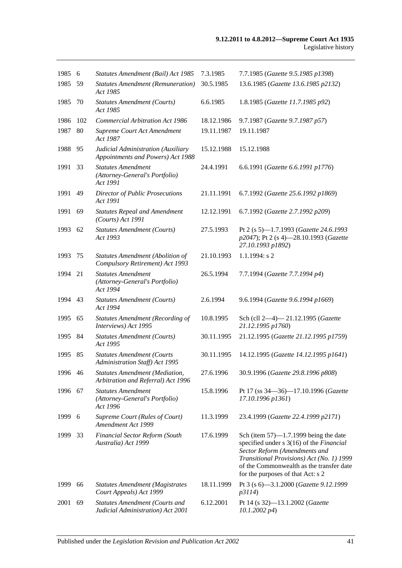| 1985    | 6   | Statutes Amendment (Bail) Act 1985                                         | 7.3.1985   | 7.7.1985 (Gazette 9.5.1985 p1398)                                                                                                                                                                                                                   |
|---------|-----|----------------------------------------------------------------------------|------------|-----------------------------------------------------------------------------------------------------------------------------------------------------------------------------------------------------------------------------------------------------|
| 1985    | 59  | <b>Statutes Amendment (Remuneration)</b><br>Act 1985                       | 30.5.1985  | 13.6.1985 (Gazette 13.6.1985 p2132)                                                                                                                                                                                                                 |
| 1985    | 70  | <b>Statutes Amendment (Courts)</b><br>Act 1985                             | 6.6.1985   | 1.8.1985 (Gazette 11.7.1985 p92)                                                                                                                                                                                                                    |
| 1986    | 102 | <b>Commercial Arbitration Act 1986</b>                                     | 18.12.1986 | 9.7.1987 (Gazette 9.7.1987 p57)                                                                                                                                                                                                                     |
| 1987    | 80  | Supreme Court Act Amendment<br>Act 1987                                    | 19.11.1987 | 19.11.1987                                                                                                                                                                                                                                          |
| 1988    | 95  | Judicial Administration (Auxiliary<br>Appointments and Powers) Act 1988    | 15.12.1988 | 15.12.1988                                                                                                                                                                                                                                          |
| 1991    | 33  | <b>Statutes Amendment</b><br>(Attorney-General's Portfolio)<br>Act 1991    | 24.4.1991  | 6.6.1991 (Gazette 6.6.1991 p1776)                                                                                                                                                                                                                   |
| 1991    | 49  | <b>Director of Public Prosecutions</b><br>Act 1991                         | 21.11.1991 | 6.7.1992 (Gazette 25.6.1992 p1869)                                                                                                                                                                                                                  |
| 1991    | 69  | <b>Statutes Repeal and Amendment</b><br>(Courts) Act 1991                  | 12.12.1991 | 6.7.1992 (Gazette 2.7.1992 p209)                                                                                                                                                                                                                    |
| 1993    | 62  | <b>Statutes Amendment (Courts)</b><br>Act 1993                             | 27.5.1993  | Pt 2 (s 5)-1.7.1993 (Gazette 24.6.1993<br>p2047); Pt 2 (s 4)-28.10.1993 (Gazette<br>27.10.1993 p1892)                                                                                                                                               |
| 1993    | 75  | <b>Statutes Amendment (Abolition of</b><br>Compulsory Retirement) Act 1993 | 21.10.1993 | $1.1.1994$ : s 2                                                                                                                                                                                                                                    |
| 1994    | 21  | <b>Statutes Amendment</b><br>(Attorney-General's Portfolio)<br>Act 1994    | 26.5.1994  | 7.7.1994 (Gazette 7.7.1994 p4)                                                                                                                                                                                                                      |
| 1994    | 43  | <b>Statutes Amendment (Courts)</b><br>Act 1994                             | 2.6.1994   | 9.6.1994 (Gazette 9.6.1994 p1669)                                                                                                                                                                                                                   |
| 1995    | 65  | <b>Statutes Amendment (Recording of</b><br>Interviews) Act 1995            | 10.8.1995  | Sch (cll 2-4)-21.12.1995 (Gazette<br>21.12.1995 p1760)                                                                                                                                                                                              |
| 1995    | 84  | <b>Statutes Amendment (Courts)</b><br>Act 1995                             | 30.11.1995 | 21.12.1995 (Gazette 21.12.1995 p1759)                                                                                                                                                                                                               |
| 1995    | 85  | <b>Statutes Amendment (Courts</b><br>Administration Staff) Act 1995        | 30.11.1995 | 14.12.1995 (Gazette 14.12.1995 p1641)                                                                                                                                                                                                               |
| 1996 46 |     | Statutes Amendment (Mediation,<br>Arbitration and Referral) Act 1996       | 27.6.1996  | 30.9.1996 (Gazette 29.8.1996 p808)                                                                                                                                                                                                                  |
| 1996    | 67  | <b>Statutes Amendment</b><br>(Attorney-General's Portfolio)<br>Act 1996    | 15.8.1996  | Pt 17 (ss 34-36)-17.10.1996 (Gazette<br>17.10.1996 p1361)                                                                                                                                                                                           |
| 1999    | 6   | Supreme Court (Rules of Court)<br>Amendment Act 1999                       | 11.3.1999  | 23.4.1999 (Gazette 22.4.1999 p2171)                                                                                                                                                                                                                 |
| 1999    | 33  | <b>Financial Sector Reform (South</b><br>Australia) Act 1999               | 17.6.1999  | Sch (item $57$ )—1.7.1999 being the date<br>specified under s 3(16) of the Financial<br>Sector Reform (Amendments and<br>Transitional Provisions) Act (No. 1) 1999<br>of the Commonwealth as the transfer date<br>for the purposes of that Act: s 2 |
| 1999    | 66  | <b>Statutes Amendment (Magistrates</b><br>Court Appeals) Act 1999          | 18.11.1999 | Pt 3 (s 6)-3.1.2000 (Gazette 9.12.1999<br>p3114)                                                                                                                                                                                                    |
| 2001    | 69  | <b>Statutes Amendment (Courts and</b><br>Judicial Administration) Act 2001 | 6.12.2001  | Pt 14 (s 32)-13.1.2002 (Gazette<br>$10.1.2002\ p4)$                                                                                                                                                                                                 |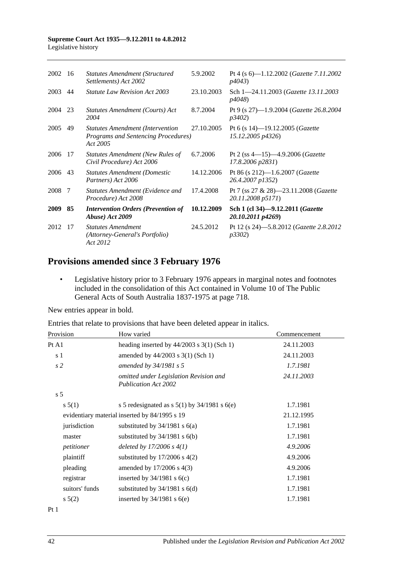| 2002        | - 16 | <b>Statutes Amendment (Structured)</b><br>Settlements) Act 2002                            | 5.9.2002   | Pt 4 (s 6)-1.12.2002 (Gazette 7.11.2002<br><i>p4043</i> )              |
|-------------|------|--------------------------------------------------------------------------------------------|------------|------------------------------------------------------------------------|
| 2003        | 44   | <b>Statute Law Revision Act 2003</b>                                                       | 23.10.2003 | Sch 1-24.11.2003 (Gazette 13.11.2003)<br><i>p4048</i> )                |
| 2004        | 23   | Statutes Amendment (Courts) Act<br>2004                                                    | 8.7.2004   | Pt 9 (s 27)-1.9.2004 (Gazette 26.8.2004<br><i>p</i> 3402)              |
| 2005        | 49   | <b>Statutes Amendment (Intervention</b><br>Programs and Sentencing Procedures)<br>Act 2005 | 27.10.2005 | Pt 6 (s 14)-19.12.2005 (Gazette<br>15.12.2005 p4326)                   |
| 2006        | 17   | <b>Statutes Amendment (New Rules of</b><br>Civil Procedure) Act 2006                       | 6.7.2006   | Pt 2 (ss $4-15$ ) $-4.9.2006$ ( <i>Gazette</i><br>17.8.2006 p2831)     |
| 2006        | 43   | <b>Statutes Amendment (Domestic</b><br>Partners) Act 2006                                  | 14.12.2006 | Pt 86 (s 212)-1.6.2007 ( <i>Gazette</i><br>26.4.2007 p1352)            |
| 2008 7      |      | Statutes Amendment (Evidence and<br>Procedure) Act 2008                                    | 17.4.2008  | Pt 7 (ss $27 \& 28$ )—23.11.2008 ( <i>Gazette</i><br>20.11.2008 p5171) |
| <b>2009</b> | 85   | <b>Intervention Orders (Prevention of</b><br>Abuse) Act 2009                               | 10.12.2009 | Sch 1 (cl 34)-9.12.2011 (Gazette<br>20.10.2011 p4269)                  |
| 2012        | 17   | <b>Statutes Amendment</b><br>(Attorney-General's Portfolio)<br>Act 2012                    | 24.5.2012  | Pt 12 (s 24)-5.8.2012 ( <i>Gazette 2.8.2012</i><br><i>p3302</i> )      |

## **Provisions amended since 3 February 1976**

• Legislative history prior to 3 February 1976 appears in marginal notes and footnotes included in the consolidation of this Act contained in Volume 10 of The Public General Acts of South Australia 1837-1975 at page 718.

New entries appear in bold.

Entries that relate to provisions that have been deleted appear in italics.

| Provision      | How varied                                                            | Commencement |
|----------------|-----------------------------------------------------------------------|--------------|
| Pt A1          | heading inserted by $44/2003$ s 3(1) (Sch 1)                          | 24.11.2003   |
| s 1            | amended by $44/2003$ s 3(1) (Sch 1)                                   | 24.11.2003   |
| s <sub>2</sub> | amended by $34/1981$ s 5                                              | 1.7.1981     |
|                | omitted under Legislation Revision and<br><b>Publication Act 2002</b> | 24.11.2003   |
| s <sub>5</sub> |                                                                       |              |
| s 5(1)         | s 5 redesignated as s $5(1)$ by $34/1981$ s $6(e)$                    | 1.7.1981     |
|                | evidentiary material inserted by 84/1995 s 19                         | 21.12.1995   |
| jurisdiction   | substituted by $34/1981$ s $6(a)$                                     | 1.7.1981     |
| master         | substituted by $34/1981$ s $6(b)$                                     | 1.7.1981     |
| petitioner     | deleted by $17/2006 s 4(1)$                                           | 4.9.2006     |
| plaintiff      | substituted by $17/2006$ s $4(2)$                                     | 4.9.2006     |
| pleading       | amended by $17/2006$ s 4(3)                                           | 4.9.2006     |
| registrar      | inserted by $34/1981$ s $6(c)$                                        | 1.7.1981     |
| suitors' funds | substituted by $34/1981$ s $6(d)$                                     | 1.7.1981     |
| $s\ 5(2)$      | inserted by $34/1981$ s $6(e)$                                        | 1.7.1981     |
|                |                                                                       |              |

Pt 1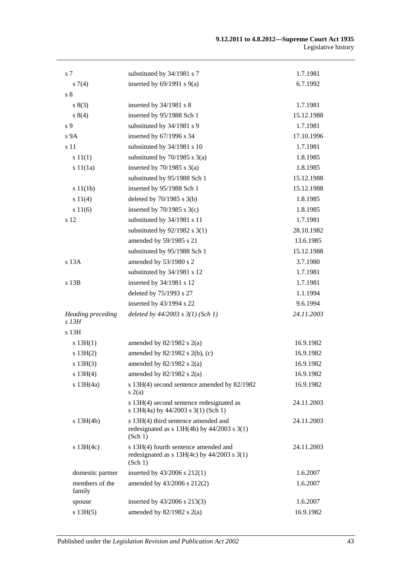| s 7                                 | substituted by 34/1981 s 7                                                                         | 1.7.1981   |
|-------------------------------------|----------------------------------------------------------------------------------------------------|------------|
| s(7(4)                              | inserted by $69/1991$ s $9(a)$                                                                     | 6.7.1992   |
| s <sub>8</sub>                      |                                                                                                    |            |
| s(3)                                | inserted by $34/1981$ s 8                                                                          | 1.7.1981   |
| s 8(4)                              | inserted by 95/1988 Sch 1                                                                          | 15.12.1988 |
| s 9                                 | substituted by 34/1981 s 9                                                                         | 1.7.1981   |
| s 9A                                | inserted by 67/1996 s 34                                                                           | 17.10.1996 |
| s 11                                | substituted by 34/1981 s 10                                                                        | 1.7.1981   |
| s 11(1)                             | substituted by $70/1985$ s $3(a)$                                                                  | 1.8.1985   |
| s 11(1a)                            | inserted by $70/1985$ s $3(a)$                                                                     | 1.8.1985   |
|                                     | substituted by 95/1988 Sch 1                                                                       | 15.12.1988 |
| s 11(1b)                            | inserted by 95/1988 Sch 1                                                                          | 15.12.1988 |
| s 11(4)                             | deleted by $70/1985$ s $3(b)$                                                                      | 1.8.1985   |
| s 11(6)                             | inserted by $70/1985$ s $3(c)$                                                                     | 1.8.1985   |
| s 12                                | substituted by 34/1981 s 11                                                                        | 1.7.1981   |
|                                     | substituted by $92/1982$ s 3(1)                                                                    | 28.10.1982 |
|                                     | amended by 59/1985 s 21                                                                            | 13.6.1985  |
|                                     | substituted by 95/1988 Sch 1                                                                       | 15.12.1988 |
| s 13A                               | amended by 53/1980 s 2                                                                             | 3.7.1980   |
|                                     | substituted by 34/1981 s 12                                                                        | 1.7.1981   |
| s 13B                               | inserted by 34/1981 s 12                                                                           | 1.7.1981   |
|                                     | deleted by 75/1993 s 27                                                                            | 1.1.1994   |
|                                     | inserted by 43/1994 s 22                                                                           | 9.6.1994   |
| <b>Heading</b> preceding<br>$s$ 13H | deleted by $44/2003$ s $3(1)$ (Sch 1)                                                              | 24.11.2003 |
| s 13H                               |                                                                                                    |            |
| s 13H(1)                            | amended by $82/1982$ s $2(a)$                                                                      | 16.9.1982  |
| s 13H(2)                            | amended by 82/1982 s 2(b), (c)                                                                     | 16.9.1982  |
| s 13H(3)                            | amended by $82/1982$ s $2(a)$                                                                      | 16.9.1982  |
| s 13H(4)                            | amended by $82/1982$ s $2(a)$                                                                      | 16.9.1982  |
| s 13H(4a)                           | s 13H(4) second sentence amended by 82/1982<br>s(2(a)                                              | 16.9.1982  |
|                                     | s 13H(4) second sentence redesignated as<br>s 13H(4a) by 44/2003 s 3(1) (Sch 1)                    | 24.11.2003 |
| $s$ 13H(4b)                         | s 13H(4) third sentence amended and<br>redesignated as $s$ 13H(4b) by 44/2003 $s$ 3(1)<br>(Sch 1)  | 24.11.2003 |
| s $13H(4c)$                         | s 13H(4) fourth sentence amended and<br>redesignated as $s$ 13H(4c) by 44/2003 $s$ 3(1)<br>(Sch 1) | 24.11.2003 |
| domestic partner                    | inserted by $43/2006$ s $212(1)$                                                                   | 1.6.2007   |
| members of the<br>family            | amended by 43/2006 s 212(2)                                                                        | 1.6.2007   |
| spouse                              | inserted by 43/2006 s 213(3)                                                                       | 1.6.2007   |
| s 13H(5)                            | amended by $82/1982$ s $2(a)$                                                                      | 16.9.1982  |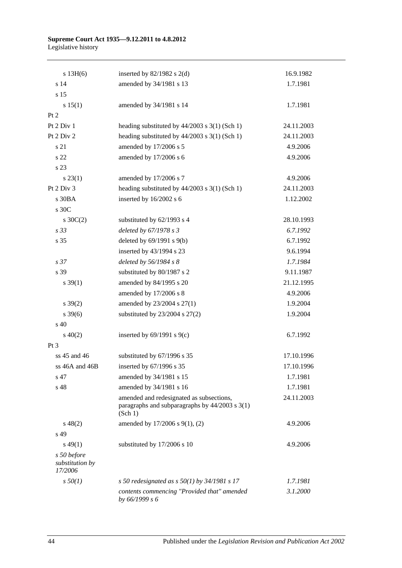| s 13H(6)                                  | inserted by $82/1982$ s $2(d)$                                                                            | 16.9.1982  |
|-------------------------------------------|-----------------------------------------------------------------------------------------------------------|------------|
| s 14                                      | amended by 34/1981 s 13                                                                                   | 1.7.1981   |
| s 15                                      |                                                                                                           |            |
| s 15(1)                                   | amended by 34/1981 s 14                                                                                   | 1.7.1981   |
| Pt 2                                      |                                                                                                           |            |
| Pt 2 Div 1                                | heading substituted by $44/2003$ s $3(1)$ (Sch 1)                                                         | 24.11.2003 |
| Pt 2 Div 2                                | heading substituted by 44/2003 s 3(1) (Sch 1)                                                             | 24.11.2003 |
| s 21                                      | amended by 17/2006 s 5                                                                                    | 4.9.2006   |
| s 22                                      | amended by 17/2006 s 6                                                                                    | 4.9.2006   |
| s 23                                      |                                                                                                           |            |
| $s\,23(1)$                                | amended by 17/2006 s 7                                                                                    | 4.9.2006   |
| Pt 2 Div 3                                | heading substituted by $44/2003$ s $3(1)$ (Sch 1)                                                         | 24.11.2003 |
| s 30BA                                    | inserted by 16/2002 s 6                                                                                   | 1.12.2002  |
| s 30C                                     |                                                                                                           |            |
| $s \, 30C(2)$                             | substituted by 62/1993 s 4                                                                                | 28.10.1993 |
| s 33                                      | deleted by 67/1978 s 3                                                                                    | 6.7.1992   |
| s 35                                      | deleted by $69/1991$ s $9(b)$                                                                             | 6.7.1992   |
|                                           | inserted by 43/1994 s 23                                                                                  | 9.6.1994   |
| s 37                                      | deleted by 56/1984 s 8                                                                                    | 1.7.1984   |
| s 39                                      | substituted by 80/1987 s 2                                                                                | 9.11.1987  |
| $s \, 39(1)$                              | amended by 84/1995 s 20                                                                                   | 21.12.1995 |
|                                           | amended by 17/2006 s 8                                                                                    | 4.9.2006   |
| $s \, 39(2)$                              | amended by 23/2004 s 27(1)                                                                                | 1.9.2004   |
| $s \frac{39(6)}{2}$                       | substituted by $23/2004$ s $27(2)$                                                                        | 1.9.2004   |
| $\mathrm{s}$ 40                           |                                                                                                           |            |
| $s\ 40(2)$                                | inserted by $69/1991$ s $9(c)$                                                                            | 6.7.1992   |
| Pt <sub>3</sub>                           |                                                                                                           |            |
| ss 45 and 46                              | substituted by 67/1996 s 35                                                                               | 17.10.1996 |
| ss 46A and 46B                            | inserted by $67/1996$ s 35                                                                                | 17.10.1996 |
| s 47                                      | amended by 34/1981 s 15                                                                                   | 1.7.1981   |
| s 48                                      | amended by 34/1981 s 16                                                                                   | 1.7.1981   |
|                                           | amended and redesignated as subsections,<br>paragraphs and subparagraphs by $44/2003$ s $3(1)$<br>(Sch 1) | 24.11.2003 |
| $s\ 48(2)$                                | amended by 17/2006 s 9(1), (2)                                                                            | 4.9.2006   |
| s 49                                      |                                                                                                           |            |
| $s\,49(1)$                                | substituted by 17/2006 s 10                                                                               | 4.9.2006   |
| s 50 before<br>substitution by<br>17/2006 |                                                                                                           |            |
| $s\,50(1)$                                | s 50 redesignated as s $50(1)$ by 34/1981 s 17                                                            | 1.7.1981   |
|                                           | contents commencing "Provided that" amended<br>by 66/1999 s 6                                             | 3.1.2000   |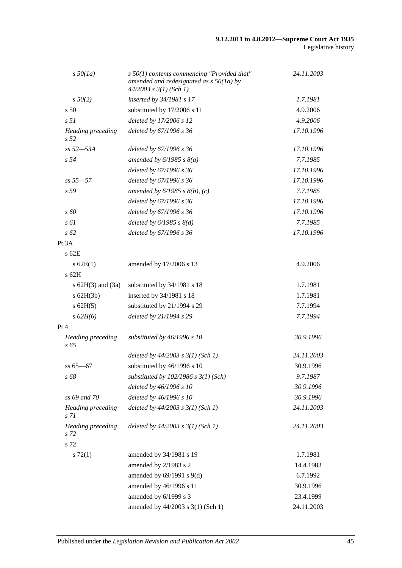| $s\,50(1a)$                      | $s$ 50(1) contents commencing "Provided that"                           | 24.11.2003 |
|----------------------------------|-------------------------------------------------------------------------|------------|
|                                  | amended and redesignated as $s$ 50(1a) by<br>$44/2003$ s $3(1)$ (Sch 1) |            |
| $s\,50(2)$                       | inserted by 34/1981 s 17                                                | 1.7.1981   |
| s <sub>50</sub>                  | substituted by 17/2006 s 11                                             | 4.9.2006   |
| s <sub>51</sub>                  | deleted by 17/2006 s 12                                                 | 4.9.2006   |
| <b>Heading</b> preceding<br>s 52 | deleted by 67/1996 s 36                                                 | 17.10.1996 |
| $ss 52 - 53A$                    | deleted by 67/1996 s 36                                                 | 17.10.1996 |
| s 54                             | amended by $6/1985$ s $8(a)$                                            | 7.7.1985   |
|                                  | deleted by 67/1996 s 36                                                 | 17.10.1996 |
| $ss 55 - 57$                     | deleted by 67/1996 s 36                                                 | 17.10.1996 |
| s <sub>59</sub>                  | amended by $6/1985$ s $8(b)$ , (c)                                      | 7.7.1985   |
|                                  | deleted by 67/1996 s 36                                                 | 17.10.1996 |
| $\overline{s}$ 60                | deleted by 67/1996 s 36                                                 | 17.10.1996 |
| $s \, \delta l$                  | deleted by $6/1985$ s $8(d)$                                            | 7.7.1985   |
| $s\,62$                          | deleted by 67/1996 s 36                                                 | 17.10.1996 |
| Pt 3A                            |                                                                         |            |
| s 62E                            |                                                                         |            |
| s 62E(1)                         | amended by 17/2006 s 13                                                 | 4.9.2006   |
| $s$ 62H                          |                                                                         |            |
| s $62H(3)$ and $(3a)$            | substituted by 34/1981 s 18                                             | 1.7.1981   |
| $s$ 62H $(3b)$                   | inserted by 34/1981 s 18                                                | 1.7.1981   |
| $s$ 62H(5)                       | substituted by 21/1994 s 29                                             | 7.7.1994   |
| s 62H(6)                         | deleted by 21/1994 s 29                                                 | 7.7.1994   |
| Pt 4                             |                                                                         |            |
| <b>Heading</b> preceding<br>s 65 | substituted by 46/1996 s 10                                             | 30.9.1996  |
|                                  | deleted by $44/2003$ s $3(1)$ (Sch 1)                                   | 24.11.2003 |
| $ss 65 - 67$                     | substituted by 46/1996 s 10                                             | 30.9.1996  |
| s 68                             | substituted by $102/1986$ s $3(1)$ (Sch)                                | 9.7.1987   |
|                                  | deleted by 46/1996 s 10                                                 | 30.9.1996  |
| ss 69 and 70                     | deleted by 46/1996 s 10                                                 | 30.9.1996  |
| <b>Heading</b> preceding<br>s 71 | deleted by $44/2003$ s $3(1)$ (Sch 1)                                   | 24.11.2003 |
| <b>Heading</b> preceding<br>s 72 | deleted by $44/2003$ s $3(1)$ (Sch 1)                                   | 24.11.2003 |
| s 72                             |                                                                         |            |
| $s\,72(1)$                       | amended by 34/1981 s 19                                                 | 1.7.1981   |
|                                  | amended by 2/1983 s 2                                                   | 14.4.1983  |
|                                  | amended by $69/1991$ s $9(d)$                                           | 6.7.1992   |
|                                  | amended by 46/1996 s 11                                                 | 30.9.1996  |
|                                  | amended by 6/1999 s 3                                                   | 23.4.1999  |
|                                  | amended by 44/2003 s 3(1) (Sch 1)                                       | 24.11.2003 |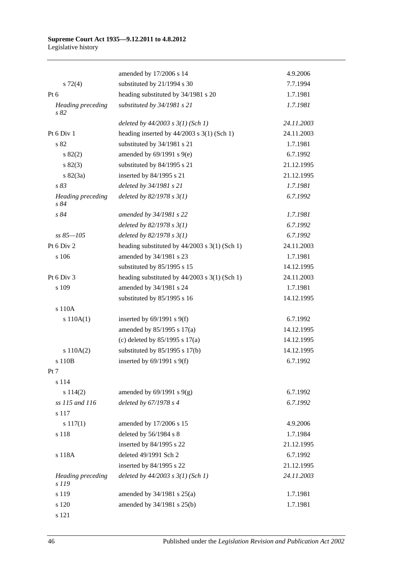|                                   | amended by 17/2006 s 14                         | 4.9.2006   |
|-----------------------------------|-------------------------------------------------|------------|
| $s\ 72(4)$                        | substituted by 21/1994 s 30                     | 7.7.1994   |
| Pt $6$                            | heading substituted by 34/1981 s 20             | 1.7.1981   |
| Heading preceding<br>s 82         | substituted by 34/1981 s 21                     | 1.7.1981   |
|                                   | deleted by $44/2003$ s $3(1)$ (Sch 1)           | 24.11.2003 |
| Pt 6 Div 1                        | heading inserted by $44/2003$ s 3(1) (Sch 1)    | 24.11.2003 |
| s 82                              | substituted by 34/1981 s 21                     | 1.7.1981   |
| s 82(2)                           | amended by $69/1991$ s $9(e)$                   | 6.7.1992   |
| s 82(3)                           | substituted by 84/1995 s 21                     | 21.12.1995 |
| $s \, 82(3a)$                     | inserted by 84/1995 s 21                        | 21.12.1995 |
| s 83                              | deleted by 34/1981 s 21                         | 1.7.1981   |
| <b>Heading</b> preceding<br>s 84  | deleted by $82/1978 s 3(1)$                     | 6.7.1992   |
| s 84                              | amended by 34/1981 s 22                         | 1.7.1981   |
|                                   | deleted by $82/1978 s 3(1)$                     | 6.7.1992   |
| ss 85–105                         | deleted by $82/1978 s 3(1)$                     | 6.7.1992   |
| Pt 6 Div 2                        | heading substituted by $44/2003$ s 3(1) (Sch 1) | 24.11.2003 |
| s 106                             | amended by 34/1981 s 23                         | 1.7.1981   |
|                                   | substituted by 85/1995 s 15                     | 14.12.1995 |
| Pt 6 Div 3                        | heading substituted by $44/2003$ s 3(1) (Sch 1) | 24.11.2003 |
| s 109                             | amended by 34/1981 s 24                         | 1.7.1981   |
|                                   | substituted by 85/1995 s 16                     | 14.12.1995 |
| s 110A                            |                                                 |            |
| s 110A(1)                         | inserted by $69/1991$ s $9(f)$                  | 6.7.1992   |
|                                   | amended by $85/1995$ s $17(a)$                  | 14.12.1995 |
|                                   | (c) deleted by $85/1995$ s $17(a)$              | 14.12.1995 |
| s 110A(2)                         | substituted by $85/1995$ s 17(b)                | 14.12.1995 |
| s 110B                            | inserted by $69/1991$ s $9(f)$                  | 6.7.1992   |
| Pt 7                              |                                                 |            |
| s 114                             |                                                 |            |
| s 114(2)                          | amended by $69/1991$ s $9(g)$                   | 6.7.1992   |
| ss 115 and 116                    | deleted by 67/1978 s 4                          | 6.7.1992   |
| s 117                             |                                                 |            |
| $s\ 117(1)$                       | amended by 17/2006 s 15                         | 4.9.2006   |
| s 118                             | deleted by 56/1984 s 8                          | 1.7.1984   |
|                                   | inserted by 84/1995 s 22                        | 21.12.1995 |
| s 118A                            | deleted 49/1991 Sch 2                           | 6.7.1992   |
|                                   | inserted by 84/1995 s 22                        | 21.12.1995 |
| <b>Heading preceding</b><br>s 119 | deleted by $44/2003$ s $3(1)$ (Sch 1)           | 24.11.2003 |
| s 119                             | amended by $34/1981$ s $25(a)$                  | 1.7.1981   |
| s 120                             | amended by 34/1981 s 25(b)                      | 1.7.1981   |
| s 121                             |                                                 |            |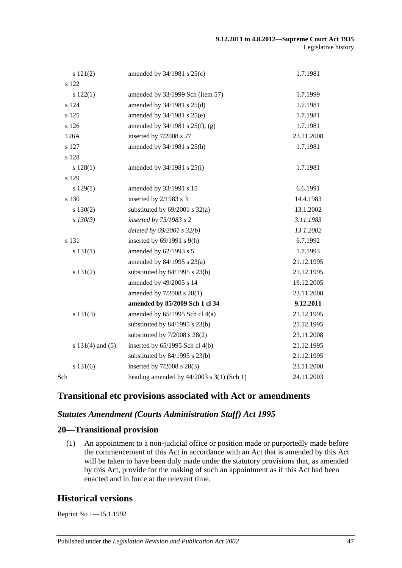| s 121(2)             | amended by $34/1981$ s $25(c)$                | 1.7.1981   |
|----------------------|-----------------------------------------------|------------|
| s 122                |                                               |            |
| s 122(1)             | amended by 33/1999 Sch (item 57)              | 1.7.1999   |
| s 124                | amended by 34/1981 s 25(d)                    | 1.7.1981   |
| s 125                | amended by 34/1981 s 25(e)                    | 1.7.1981   |
| s 126                | amended by $34/1981$ s $25(f)$ , (g)          | 1.7.1981   |
| 126A                 | inserted by 7/2008 s 27                       | 23.11.2008 |
| s 127                | amended by 34/1981 s 25(h)                    | 1.7.1981   |
| s 128                |                                               |            |
| s 128(1)             | amended by $34/1981$ s $25(i)$                | 1.7.1981   |
| s 129                |                                               |            |
| s 129(1)             | amended by 33/1991 s 15                       | 6.6.1991   |
| s 130                | inserted by 2/1983 s 3                        | 14.4.1983  |
| s 130(2)             | substituted by $69/2001$ s $32(a)$            | 13.1.2002  |
| $s$ 130(3)           | inserted by 73/1983 s 2                       | 3.11.1983  |
|                      | deleted by $69/2001$ s $32(b)$                | 13.1.2002  |
| s 131                | inserted by $69/1991$ s $9(h)$                | 6.7.1992   |
| s 131(1)             | amended by 62/1993 s 5                        | 1.7.1993   |
|                      | amended by 84/1995 s 23(a)                    | 21.12.1995 |
| s 131(2)             | substituted by $84/1995$ s $23(b)$            | 21.12.1995 |
|                      | amended by 49/2005 s 14                       | 19.12.2005 |
|                      | amended by 7/2008 s 28(1)                     | 23.11.2008 |
|                      | amended by 85/2009 Sch 1 cl 34                | 9.12.2011  |
| s 131(3)             | amended by $65/1995$ Sch cl $4(a)$            | 21.12.1995 |
|                      | substituted by $84/1995$ s $23(b)$            | 21.12.1995 |
|                      | substituted by $7/2008$ s $28(2)$             | 23.11.2008 |
| s $131(4)$ and $(5)$ | inserted by 65/1995 Sch cl 4(b)               | 21.12.1995 |
|                      | substituted by $84/1995$ s $23(b)$            | 21.12.1995 |
| s 131(6)             | inserted by 7/2008 s 28(3)                    | 23.11.2008 |
| Sch                  | heading amended by $44/2003$ s $3(1)$ (Sch 1) | 24.11.2003 |

## **Transitional etc provisions associated with Act or amendments**

## *Statutes Amendment (Courts Administration Staff) Act 1995*

### **20—Transitional provision**

(1) An appointment to a non-judicial office or position made or purportedly made before the commencement of this Act in accordance with an Act that is amended by this Act will be taken to have been duly made under the statutory provisions that, as amended by this Act, provide for the making of such an appointment as if this Act had been enacted and in force at the relevant time.

## **Historical versions**

Reprint No 1—15.1.1992